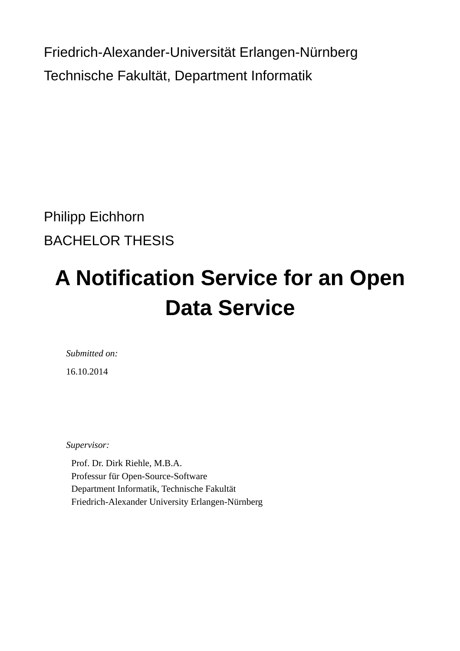Friedrich-Alexander-Universität Erlangen-Nürnberg Technische Fakultät, Department Informatik

Philipp Eichhorn BACHELOR THESIS

# **A Notification Service for an Open Data Service**

*Submitted on:* 16.10.2014

*Supervisor:* 

Prof. Dr. Dirk Riehle, M.B.A. Professur für Open-Source-Software Department Informatik, Technische Fakultät Friedrich-Alexander University Erlangen-Nürnberg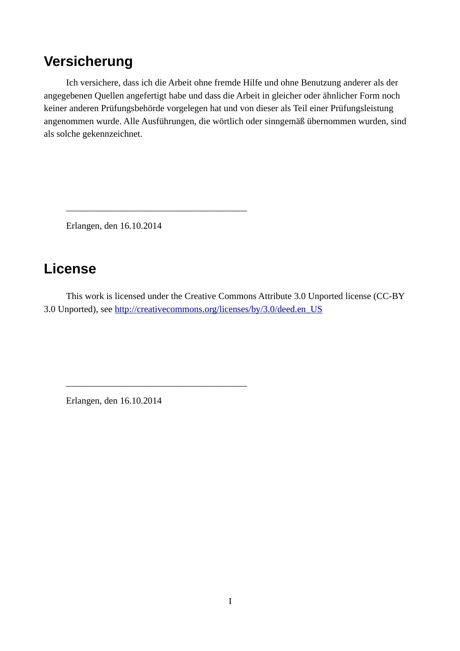## <span id="page-1-0"></span>**Versicherung**

Ich versichere, dass ich die Arbeit ohne fremde Hilfe und ohne Benutzung anderer als der angegebenen Quellen angefertigt habe und dass die Arbeit in gleicher oder ähnlicher Form noch keiner anderen Prüfungsbehörde vorgelegen hat und von dieser als Teil einer Prüfungsleistung angenommen wurde. Alle Ausführungen, die wörtlich oder sinngemäß übernommen wurden, sind als solche gekennzeichnet.

Erlangen, den 16.10.2014

\_\_\_\_\_\_\_\_\_\_\_\_\_\_\_\_\_\_\_\_\_\_\_\_\_\_\_\_\_\_\_\_\_\_\_\_\_\_\_

\_\_\_\_\_\_\_\_\_\_\_\_\_\_\_\_\_\_\_\_\_\_\_\_\_\_\_\_\_\_\_\_\_\_\_\_\_\_\_

## **License**

This work is licensed under the Creative Commons Attribute 3.0 Unported license (CC-BY 3.0 Unported), see [http://creativecommons.org/licenses/by/3.0/deed.en\\_US](http://creativecommons.org/licenses/by/3.0/deed.en_US)

Erlangen, den 16.10.2014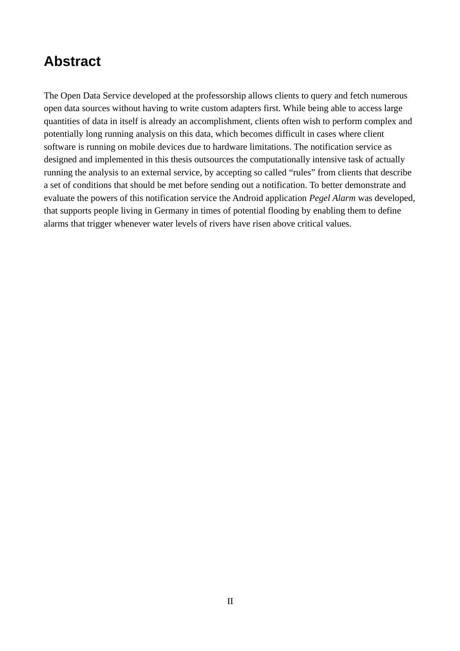## <span id="page-2-0"></span>**Abstract**

The Open Data Service developed at the professorship allows clients to query and fetch numerous open data sources without having to write custom adapters first. While being able to access large quantities of data in itself is already an accomplishment, clients often wish to perform complex and potentially long running analysis on this data, which becomes difficult in cases where client software is running on mobile devices due to hardware limitations. The notification service as designed and implemented in this thesis outsources the computationally intensive task of actually running the analysis to an external service, by accepting so called "rules" from clients that describe a set of conditions that should be met before sending out a notification. To better demonstrate and evaluate the powers of this notification service the Android application *Pegel Alarm* was developed, that supports people living in Germany in times of potential flooding by enabling them to define alarms that trigger whenever water levels of rivers have risen above critical values.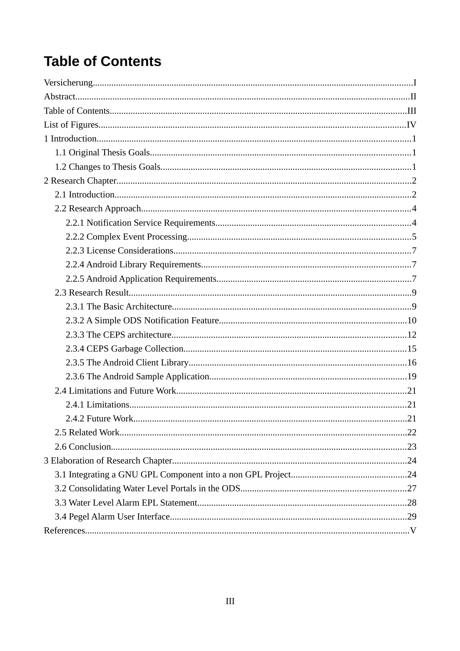## <span id="page-3-0"></span>**Table of Contents**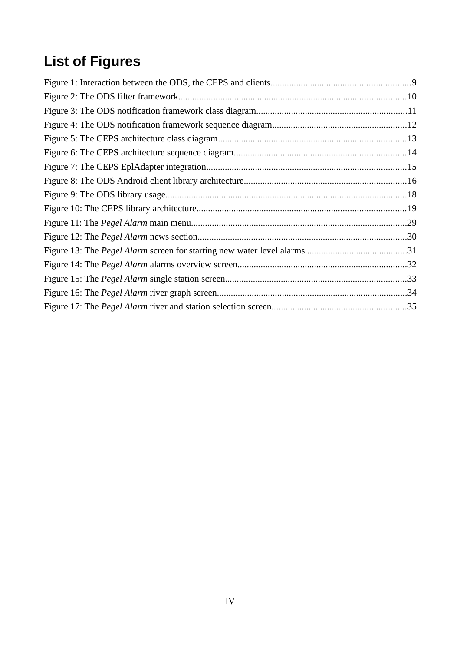## <span id="page-4-0"></span>**List of Figures**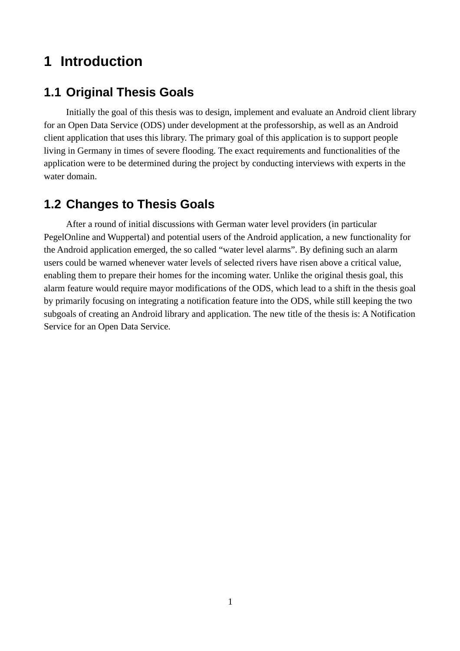## <span id="page-5-0"></span>**1 Introduction**

## <span id="page-5-1"></span>**1.1 Original Thesis Goals**

Initially the goal of this thesis was to design, implement and evaluate an Android client library for an Open Data Service (ODS) under development at the professorship, as well as an Android client application that uses this library. The primary goal of this application is to support people living in Germany in times of severe flooding. The exact requirements and functionalities of the application were to be determined during the project by conducting interviews with experts in the water domain.

## <span id="page-5-2"></span>**1.2 Changes to Thesis Goals**

After a round of initial discussions with German water level providers (in particular PegelOnline and Wuppertal) and potential users of the Android application, a new functionality for the Android application emerged, the so called "water level alarms". By defining such an alarm users could be warned whenever water levels of selected rivers have risen above a critical value, enabling them to prepare their homes for the incoming water. Unlike the original thesis goal, this alarm feature would require mayor modifications of the ODS, which lead to a shift in the thesis goal by primarily focusing on integrating a notification feature into the ODS, while still keeping the two subgoals of creating an Android library and application. The new title of the thesis is: A Notification Service for an Open Data Service.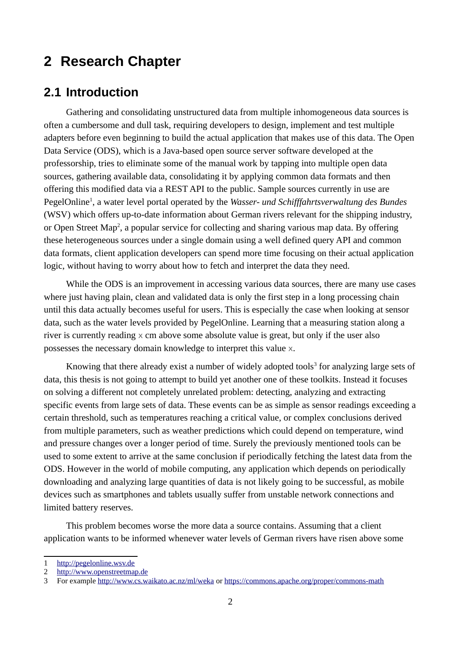## <span id="page-6-0"></span>**2 Research Chapter**

#### <span id="page-6-1"></span>**2.1 Introduction**

Gathering and consolidating unstructured data from multiple inhomogeneous data sources is often a cumbersome and dull task, requiring developers to design, implement and test multiple adapters before even beginning to build the actual application that makes use of this data. The Open Data Service (ODS), which is a Java-based open source server software developed at the professorship, tries to eliminate some of the manual work by tapping into multiple open data sources, gathering available data, consolidating it by applying common data formats and then offering this modified data via a REST API to the public. Sample sources currently in use are PegelOnline<sup>[1](#page-6-2)</sup>, a water level portal operated by the *Wasser- und Schifffahrtsverwaltung des Bundes* (WSV) which offers up-to-date information about German rivers relevant for the shipping industry, or Open Street Map<sup>[2](#page-6-3)</sup>, a popular service for collecting and sharing various map data. By offering these heterogeneous sources under a single domain using a well defined query API and common data formats, client application developers can spend more time focusing on their actual application logic, without having to worry about how to fetch and interpret the data they need.

While the ODS is an improvement in accessing various data sources, there are many use cases where just having plain, clean and validated data is only the first step in a long processing chain until this data actually becomes useful for users. This is especially the case when looking at sensor data, such as the water levels provided by PegelOnline. Learning that a measuring station along a river is currently reading  $\times$  cm above some absolute value is great, but only if the user also possesses the necessary domain knowledge to interpret this value x.

Knowing that there already exist a number of widely adopted tools $^3$  $^3$  for analyzing large sets of data, this thesis is not going to attempt to build yet another one of these toolkits. Instead it focuses on solving a different not completely unrelated problem: detecting, analyzing and extracting specific events from large sets of data. These events can be as simple as sensor readings exceeding a certain threshold, such as temperatures reaching a critical value, or complex conclusions derived from multiple parameters, such as weather predictions which could depend on temperature, wind and pressure changes over a longer period of time. Surely the previously mentioned tools can be used to some extent to arrive at the same conclusion if periodically fetching the latest data from the ODS. However in the world of mobile computing, any application which depends on periodically downloading and analyzing large quantities of data is not likely going to be successful, as mobile devices such as smartphones and tablets usually suffer from unstable network connections and limited battery reserves.

This problem becomes worse the more data a source contains. Assuming that a client application wants to be informed whenever water levels of German rivers have risen above some

<span id="page-6-2"></span><sup>1</sup> [http://pegelonline.wsv.de](http://pegelonline.wsv.de/)

<span id="page-6-3"></span><sup>2</sup> [http://www.openstreetmap.de](http://www.openstreetmap.de/)

<span id="page-6-4"></span><sup>3</sup> For example<http://www.cs.waikato.ac.nz/ml/weka>or<https://commons.apache.org/proper/commons-math>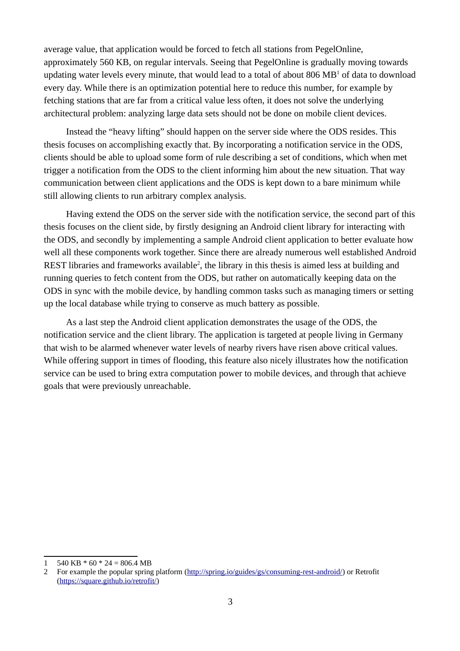average value, that application would be forced to fetch all stations from PegelOnline, approximately 560 KB, on regular intervals. Seeing that PegelOnline is gradually moving towards updating water levels every minute, that would lead to a total of about 806  $\rm MB^1$  $\rm MB^1$  of data to download every day. While there is an optimization potential here to reduce this number, for example by fetching stations that are far from a critical value less often, it does not solve the underlying architectural problem: analyzing large data sets should not be done on mobile client devices.

Instead the "heavy lifting" should happen on the server side where the ODS resides. This thesis focuses on accomplishing exactly that. By incorporating a notification service in the ODS, clients should be able to upload some form of rule describing a set of conditions, which when met trigger a notification from the ODS to the client informing him about the new situation. That way communication between client applications and the ODS is kept down to a bare minimum while still allowing clients to run arbitrary complex analysis.

Having extend the ODS on the server side with the notification service, the second part of this thesis focuses on the client side, by firstly designing an Android client library for interacting with the ODS, and secondly by implementing a sample Android client application to better evaluate how well all these components work together. Since there are already numerous well established Android REST libraries and frameworks available<sup>[2](#page-7-1)</sup>, the library in this thesis is aimed less at building and running queries to fetch content from the ODS, but rather on automatically keeping data on the ODS in sync with the mobile device, by handling common tasks such as managing timers or setting up the local database while trying to conserve as much battery as possible.

As a last step the Android client application demonstrates the usage of the ODS, the notification service and the client library. The application is targeted at people living in Germany that wish to be alarmed whenever water levels of nearby rivers have risen above critical values. While offering support in times of flooding, this feature also nicely illustrates how the notification service can be used to bring extra computation power to mobile devices, and through that achieve goals that were previously unreachable.

<span id="page-7-0"></span><sup>1</sup>  $540$  KB  $*$  60  $*$  24 = 806.4 MB

<span id="page-7-1"></span><sup>2</sup> For example the popular spring platform [\(http://spring.io/guides/gs/consuming-rest-android/\)](http://spring.io/guides/gs/consuming-rest-android/) or Retrofit [\(https://square.github.io/retrofit/\)](https://square.github.io/retrofit/)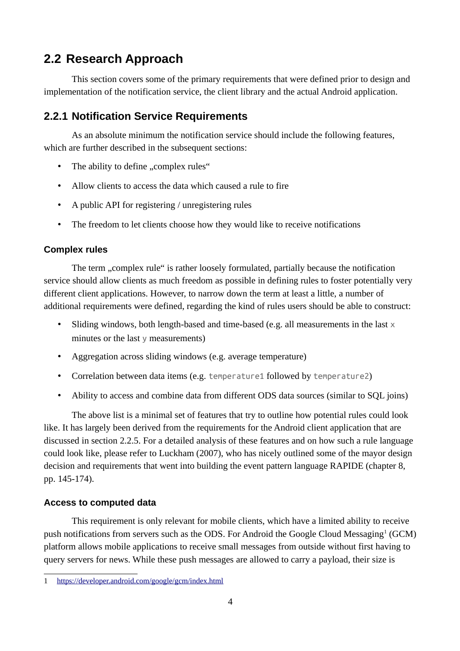## <span id="page-8-0"></span>**2.2 Research Approach**

This section covers some of the primary requirements that were defined prior to design and implementation of the notification service, the client library and the actual Android application.

#### <span id="page-8-1"></span>**2.2.1 Notification Service Requirements**

As an absolute minimum the notification service should include the following features, which are further described in the subsequent sections:

- The ability to define "complex rules"
- Allow clients to access the data which caused a rule to fire
- A public API for registering / unregistering rules
- The freedom to let clients choose how they would like to receive notifications

#### **Complex rules**

The term ..complex rule" is rather loosely formulated, partially because the notification service should allow clients as much freedom as possible in defining rules to foster potentially very different client applications. However, to narrow down the term at least a little, a number of additional requirements were defined, regarding the kind of rules users should be able to construct:

- Sliding windows, both length-based and time-based (e.g. all measurements in the last  $\times$ minutes or the last  $\vee$  measurements)
- Aggregation across sliding windows (e.g. average temperature)
- Correlation between data items (e.g. temperature1 followed by temperature2)
- Ability to access and combine data from different ODS data sources (similar to SQL joins)

The above list is a minimal set of features that try to outline how potential rules could look like. It has largely been derived from the requirements for the Android client application that are discussed in section [2.2.5.](#page-11-2) For a detailed analysis of these features and on how such a rule language could look like, please refer to Luckham (2007), who has nicely outlined some of the mayor design decision and requirements that went into building the event pattern language RAPIDE (chapter 8, pp. 145-174).

#### **Access to computed data**

This requirement is only relevant for mobile clients, which have a limited ability to receive push notifications from servers such as the ODS. For Android the Google Cloud Messaging<sup>[1](#page-8-2)</sup> (GCM) platform allows mobile applications to receive small messages from outside without first having to query servers for news. While these push messages are allowed to carry a payload, their size is

<span id="page-8-2"></span><sup>1</sup> <https://developer.android.com/google/gcm/index.html>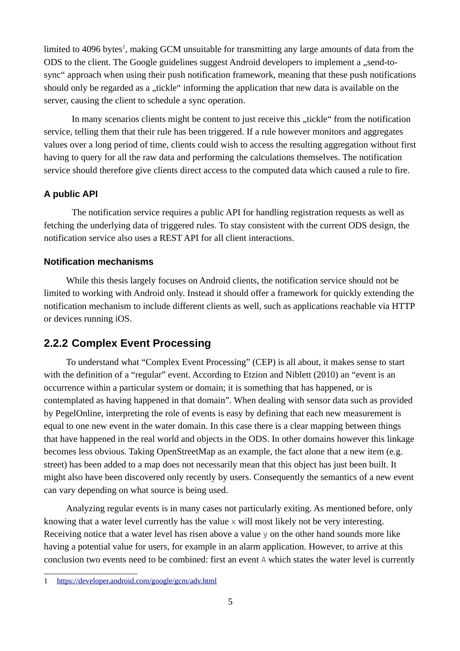limited to 4096 bytes<sup>[1](#page-9-1)</sup>, making GCM unsuitable for transmitting any large amounts of data from the ODS to the client. The Google guidelines suggest Android developers to implement a "send-tosync" approach when using their push notification framework, meaning that these push notifications should only be regarded as a "tickle" informing the application that new data is available on the server, causing the client to schedule a sync operation.

In many scenarios clients might be content to just receive this "tickle" from the notification service, telling them that their rule has been triggered. If a rule however monitors and aggregates values over a long period of time, clients could wish to access the resulting aggregation without first having to query for all the raw data and performing the calculations themselves. The notification service should therefore give clients direct access to the computed data which caused a rule to fire.

#### **A public API**

The notification service requires a public API for handling registration requests as well as fetching the underlying data of triggered rules. To stay consistent with the current ODS design, the notification service also uses a REST API for all client interactions.

#### **Notification mechanisms**

While this thesis largely focuses on Android clients, the notification service should not be limited to working with Android only. Instead it should offer a framework for quickly extending the notification mechanism to include different clients as well, such as applications reachable via HTTP or devices running iOS.

#### <span id="page-9-0"></span>**2.2.2 Complex Event Processing**

To understand what "Complex Event Processing" (CEP) is all about, it makes sense to start with the definition of a "regular" event. According to Etzion and Niblett (2010) an "event is an occurrence within a particular system or domain; it is something that has happened, or is contemplated as having happened in that domain". When dealing with sensor data such as provided by PegelOnline, interpreting the role of events is easy by defining that each new measurement is equal to one new event in the water domain. In this case there is a clear mapping between things that have happened in the real world and objects in the ODS. In other domains however this linkage becomes less obvious. Taking OpenStreetMap as an example, the fact alone that a new item (e.g. street) has been added to a map does not necessarily mean that this object has just been built. It might also have been discovered only recently by users. Consequently the semantics of a new event can vary depending on what source is being used.

Analyzing regular events is in many cases not particularly exiting. As mentioned before, only knowing that a water level currently has the value  $\times$  will most likely not be very interesting. Receiving notice that a water level has risen above a value y on the other hand sounds more like having a potential value for users, for example in an alarm application. However, to arrive at this conclusion two events need to be combined: first an event A which states the water level is currently

<span id="page-9-1"></span><sup>1</sup> <https://developer.android.com/google/gcm/adv.html>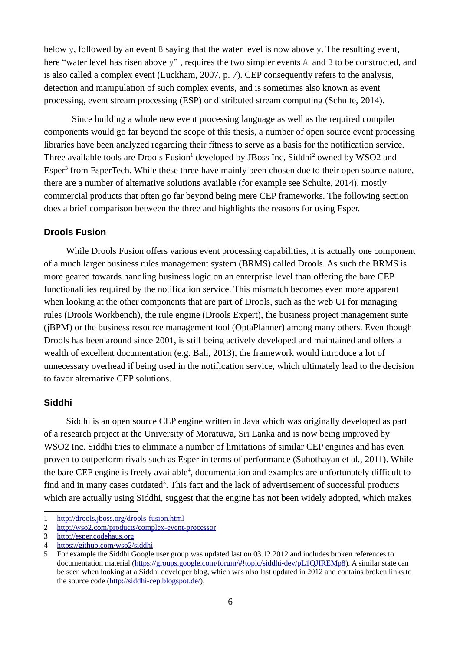below y, followed by an event B saying that the water level is now above y. The resulting event, here "water level has risen above y", requires the two simpler events A and B to be constructed, and is also called a complex event (Luckham, 2007, p. 7). CEP consequently refers to the analysis, detection and manipulation of such complex events, and is sometimes also known as event processing, event stream processing (ESP) or distributed stream computing (Schulte, 2014).

Since building a whole new event processing language as well as the required compiler components would go far beyond the scope of this thesis, a number of open source event processing libraries have been analyzed regarding their fitness to serve as a basis for the notification service. Three available tools are Drools Fusion<sup>[1](#page-10-0)</sup> developed by JBoss Inc, Siddhi<sup>[2](#page-10-1)</sup> owned by WSO2 and Esper<sup>[3](#page-10-2)</sup> from EsperTech. While these three have mainly been chosen due to their open source nature, there are a number of alternative solutions available (for example see Schulte, 2014), mostly commercial products that often go far beyond being mere CEP frameworks. The following section does a brief comparison between the three and highlights the reasons for using Esper.

#### **Drools Fusion**

While Drools Fusion offers various event processing capabilities, it is actually one component of a much larger business rules management system (BRMS) called Drools. As such the BRMS is more geared towards handling business logic on an enterprise level than offering the bare CEP functionalities required by the notification service. This mismatch becomes even more apparent when looking at the other components that are part of Drools, such as the web UI for managing rules (Drools Workbench), the rule engine (Drools Expert), the business project management suite (jBPM) or the business resource management tool (OptaPlanner) among many others. Even though Drools has been around since 2001, is still being actively developed and maintained and offers a wealth of excellent documentation (e.g. Bali, 2013), the framework would introduce a lot of unnecessary overhead if being used in the notification service, which ultimately lead to the decision to favor alternative CEP solutions.

#### **Siddhi**

Siddhi is an open source CEP engine written in Java which was originally developed as part of a research project at the University of Moratuwa, Sri Lanka and is now being improved by WSO2 Inc. Siddhi tries to eliminate a number of limitations of similar CEP engines and has even proven to outperform rivals such as Esper in terms of performance (Suhothayan et al., 2011). While the bare CEP engine is freely available<sup>[4](#page-10-3)</sup>, documentation and examples are unfortunately difficult to find and in many cases outdated<sup>[5](#page-10-4)</sup>. This fact and the lack of advertisement of successful products which are actually using Siddhi, suggest that the engine has not been widely adopted, which makes

<span id="page-10-0"></span><sup>1</sup> <http://drools.jboss.org/drools-fusion.html>

<span id="page-10-1"></span><sup>2</sup> <http://wso2.com/products/complex-event-processor>

<span id="page-10-2"></span><sup>3</sup> [http://esper.codehaus.org](http://esper.codehaus.org/)

<span id="page-10-3"></span><sup>4</sup> <https://github.com/wso2/siddhi>

<span id="page-10-4"></span><sup>5</sup> For example the Siddhi Google user group was updated last on 03.12.2012 and includes broken references to documentation material [\(https://groups.google.com/forum/#!topic/siddhi-dev/pL1QJIREMp8\)](https://groups.google.com/forum/#!topic/siddhi-dev/pL1QJIREMp8). A similar state can be seen when looking at a Siddhi developer blog, which was also last updated in 2012 and contains broken links to the source code [\(http://siddhi-cep.blogspot.de/\)](http://siddhi-cep.blogspot.de/).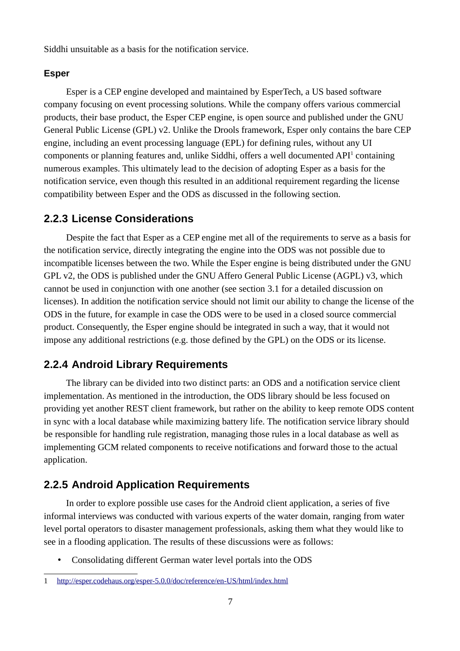Siddhi unsuitable as a basis for the notification service.

#### **Esper**

Esper is a CEP engine developed and maintained by EsperTech, a US based software company focusing on event processing solutions. While the company offers various commercial products, their base product, the Esper CEP engine, is open source and published under the GNU General Public License (GPL) v2. Unlike the Drools framework, Esper only contains the bare CEP engine, including an event processing language (EPL) for defining rules, without any UI components or planning features and, unlike Siddhi, offers a well documented  $API<sup>1</sup>$  $API<sup>1</sup>$  $API<sup>1</sup>$  containing numerous examples. This ultimately lead to the decision of adopting Esper as a basis for the notification service, even though this resulted in an additional requirement regarding the license compatibility between Esper and the ODS as discussed in the following section.

#### <span id="page-11-0"></span>**2.2.3 License Considerations**

Despite the fact that Esper as a CEP engine met all of the requirements to serve as a basis for the notification service, directly integrating the engine into the ODS was not possible due to incompatible licenses between the two. While the Esper engine is being distributed under the GNU GPL v2, the ODS is published under the GNU Affero General Public License (AGPL) v3, which cannot be used in conjunction with one another (see section [3.1](#page-28-1) for a detailed discussion on licenses). In addition the notification service should not limit our ability to change the license of the ODS in the future, for example in case the ODS were to be used in a closed source commercial product. Consequently, the Esper engine should be integrated in such a way, that it would not impose any additional restrictions (e.g. those defined by the GPL) on the ODS or its license.

#### <span id="page-11-1"></span>**2.2.4 Android Library Requirements**

The library can be divided into two distinct parts: an ODS and a notification service client implementation. As mentioned in the introduction, the ODS library should be less focused on providing yet another REST client framework, but rather on the ability to keep remote ODS content in sync with a local database while maximizing battery life. The notification service library should be responsible for handling rule registration, managing those rules in a local database as well as implementing GCM related components to receive notifications and forward those to the actual application.

#### <span id="page-11-2"></span>**2.2.5 Android Application Requirements**

In order to explore possible use cases for the Android client application, a series of five informal interviews was conducted with various experts of the water domain, ranging from water level portal operators to disaster management professionals, asking them what they would like to see in a flooding application. The results of these discussions were as follows:

• Consolidating different German water level portals into the ODS

<span id="page-11-3"></span><sup>1</sup> <http://esper.codehaus.org/esper-5.0.0/doc/reference/en-US/html/index.html>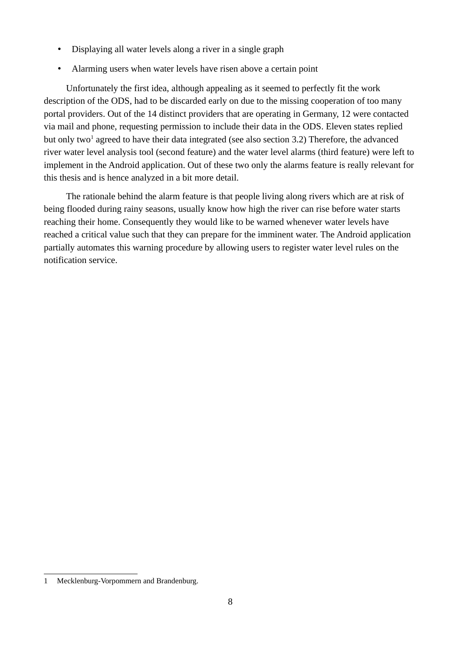- Displaying all water levels along a river in a single graph
- Alarming users when water levels have risen above a certain point

Unfortunately the first idea, although appealing as it seemed to perfectly fit the work description of the ODS, had to be discarded early on due to the missing cooperation of too many portal providers. Out of the 14 distinct providers that are operating in Germany, 12 were contacted via mail and phone, requesting permission to include their data in the ODS. Eleven states replied but only two<sup>[1](#page-12-0)</sup> agreed to have their data integrated (see also section [3.2\)](#page-31-0) Therefore, the advanced river water level analysis tool (second feature) and the water level alarms (third feature) were left to implement in the Android application. Out of these two only the alarms feature is really relevant for this thesis and is hence analyzed in a bit more detail.

The rationale behind the alarm feature is that people living along rivers which are at risk of being flooded during rainy seasons, usually know how high the river can rise before water starts reaching their home. Consequently they would like to be warned whenever water levels have reached a critical value such that they can prepare for the imminent water. The Android application partially automates this warning procedure by allowing users to register water level rules on the notification service.

<span id="page-12-0"></span><sup>1</sup> Mecklenburg-Vorpommern and Brandenburg.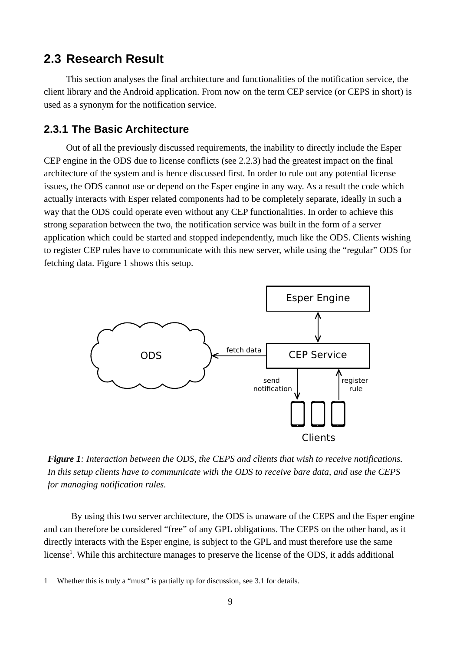#### <span id="page-13-0"></span>**2.3 Research Result**

This section analyses the final architecture and functionalities of the notification service, the client library and the Android application. From now on the term CEP service (or CEPS in short) is used as a synonym for the notification service.

#### <span id="page-13-1"></span>**2.3.1 The Basic Architecture**

Out of all the previously discussed requirements, the inability to directly include the Esper CEP engine in the ODS due to license conflicts (see [2.2.3\)](#page-11-0) had the greatest impact on the final architecture of the system and is hence discussed first. In order to rule out any potential license issues, the ODS cannot use or depend on the Esper engine in any way. As a result the code which actually interacts with Esper related components had to be completely separate, ideally in such a way that the ODS could operate even without any CEP functionalities. In order to achieve this strong separation between the two, the notification service was built in the form of a server application which could be started and stopped independently, much like the ODS. Clients wishing to register CEP rules have to communicate with this new server, while using the "regular" ODS for fetching data. Figure [1](#page-13-2) shows this setup.



<span id="page-13-2"></span>*Figure 1: Interaction between the ODS, the CEPS and clients that wish to receive notifications. In this setup clients have to communicate with the ODS to receive bare data, and use the CEPS for managing notification rules.*

By using this two server architecture, the ODS is unaware of the CEPS and the Esper engine and can therefore be considered "free" of any GPL obligations. The CEPS on the other hand, as it directly interacts with the Esper engine, is subject to the GPL and must therefore use the same license<sup>[1](#page-13-3)</sup>. While this architecture manages to preserve the license of the ODS, it adds additional

<span id="page-13-3"></span><sup>1</sup> Whether this is truly a "must" is partially up for discussion, see [3.1](#page-28-1) for details.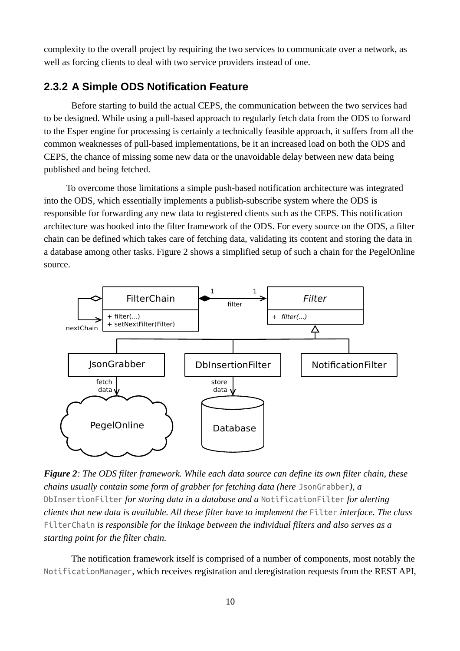complexity to the overall project by requiring the two services to communicate over a network, as well as forcing clients to deal with two service providers instead of one.

#### <span id="page-14-0"></span>**2.3.2 A Simple ODS Notification Feature**

Before starting to build the actual CEPS, the communication between the two services had to be designed. While using a pull-based approach to regularly fetch data from the ODS to forward to the Esper engine for processing is certainly a technically feasible approach, it suffers from all the common weaknesses of pull-based implementations, be it an increased load on both the ODS and CEPS, the chance of missing some new data or the unavoidable delay between new data being published and being fetched.

To overcome those limitations a simple push-based notification architecture was integrated into the ODS, which essentially implements a publish-subscribe system where the ODS is responsible for forwarding any new data to registered clients such as the CEPS. This notification architecture was hooked into the filter framework of the ODS. For every source on the ODS, a filter chain can be defined which takes care of fetching data, validating its content and storing the data in a database among other tasks. Figure [2](#page-14-1) shows a simplified setup of such a chain for the PegelOnline source.



<span id="page-14-1"></span>*Figure 2: The ODS filter framework. While each data source can define its own filter chain, these chains usually contain some form of grabber for fetching data (here* JsonGrabber*), a*  DbInsertionFilter *for storing data in a database and a* NotificationFilter *for alerting clients that new data is available. All these filter have to implement the* Filter *interface. The class* FilterChain *is responsible for the linkage between the individual filters and also serves as a starting point for the filter chain.*

The notification framework itself is comprised of a number of components, most notably the NotificationManager, which receives registration and deregistration requests from the REST API,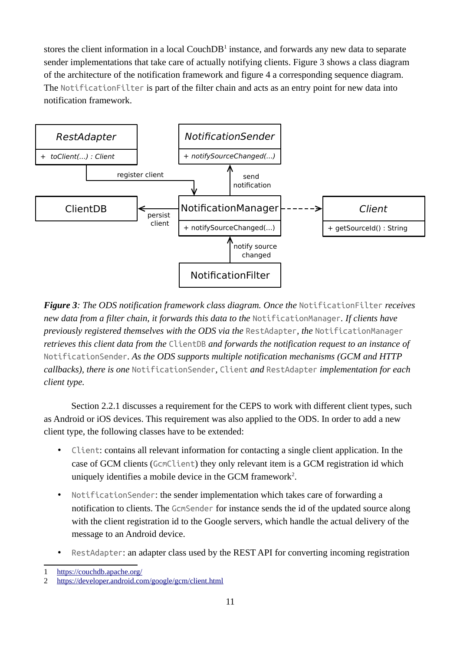stores the client information in a local Couch $DB<sup>1</sup>$  $DB<sup>1</sup>$  $DB<sup>1</sup>$  instance, and forwards any new data to separate sender implementations that take care of actually notifying clients. Figure [3](#page-15-0) shows a class diagram of the architecture of the notification framework and figure [4](#page-16-1) a corresponding sequence diagram. The NotificationFilter is part of the filter chain and acts as an entry point for new data into notification framework.



<span id="page-15-0"></span>*Figure 3: The ODS notification framework class diagram. Once the NotificationFilter receives new data from a filter chain, it forwards this data to the* NotificationManager*. If clients have previously registered themselves with the ODS via the* RestAdapter*, the* NotificationManager *retrieves this client data from the* ClientDB *and forwards the notification request to an instance of*  NotificationSender*. As the ODS supports multiple notification mechanisms (GCM and HTTP callbacks), there is one* NotificationSender*,* Client *and* RestAdapter *implementation for each client type.*

Section [2.2.1](#page-8-1) discusses a requirement for the CEPS to work with different client types, such as Android or iOS devices. This requirement was also applied to the ODS. In order to add a new client type, the following classes have to be extended:

- Client: contains all relevant information for contacting a single client application. In the case of GCM clients (GcmClient) they only relevant item is a GCM registration id which uniquely identifies a mobile device in the GCM framework<sup>[2](#page-15-2)</sup>.
- NotificationSender: the sender implementation which takes care of forwarding a notification to clients. The GcmSender for instance sends the id of the updated source along with the client registration id to the Google servers, which handle the actual delivery of the message to an Android device.
- RestAdapter: an adapter class used by the REST API for converting incoming registration

<span id="page-15-1"></span><sup>1</sup> <https://couchdb.apache.org/>

<span id="page-15-2"></span><sup>2</sup> <https://developer.android.com/google/gcm/client.html>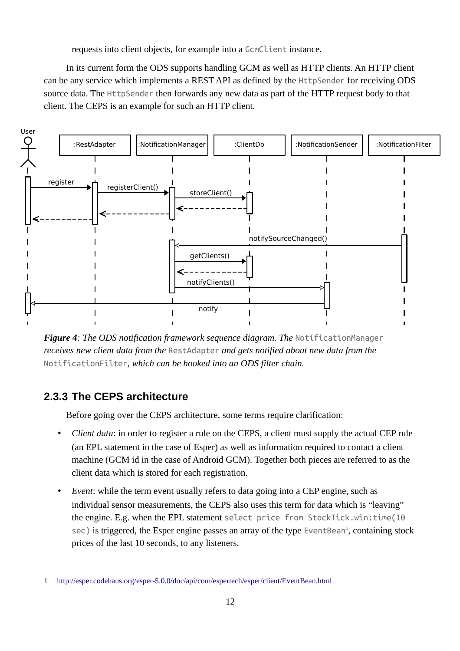requests into client objects, for example into a GcmClient instance.

In its current form the ODS supports handling GCM as well as HTTP clients. An HTTP client can be any service which implements a REST API as defined by the HttpSender for receiving ODS source data. The HttpSender then forwards any new data as part of the HTTP request body to that client. The CEPS is an example for such an HTTP client.



<span id="page-16-1"></span>*Figure 4: The ODS notification framework sequence diagram. The* NotificationManager *receives new client data from the* RestAdapter *and gets notified about new data from the*  NotificationFilter*, which can be hooked into an ODS filter chain.*

## **2.3.3 The CEPS architecture**

<span id="page-16-0"></span>Before going over the CEPS architecture, some terms require clarification:

- *Client data*: in order to register a rule on the CEPS, a client must supply the actual CEP rule (an EPL statement in the case of Esper) as well as information required to contact a client machine (GCM id in the case of Android GCM). Together both pieces are referred to as the client data which is stored for each registration.
- *Event*: while the term event usually refers to data going into a CEP engine, such as individual sensor measurements, the CEPS also uses this term for data which is "leaving" the engine. E.g. when the EPL statement select price from StockTick.win:time(10  $sec$ ) is triggered, the Esper engine passes an array of the type EventBean<sup>[1](#page-16-2)</sup>, containing stock prices of the last 10 seconds, to any listeners.

<span id="page-16-2"></span><sup>1</sup> <http://esper.codehaus.org/esper-5.0.0/doc/api/com/espertech/esper/client/EventBean.html>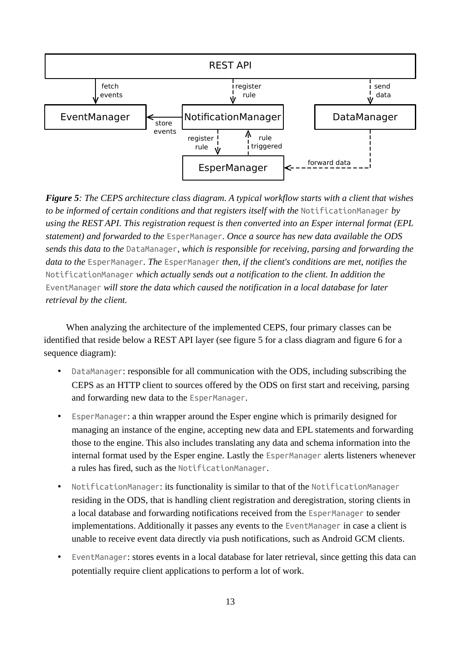

<span id="page-17-0"></span>*Figure 5: The CEPS architecture class diagram. A typical workflow starts with a client that wishes to be informed of certain conditions and that registers itself with the* NotificationManager *by using the REST API. This registration request is then converted into an Esper internal format (EPL statement) and forwarded to the* EsperManager*. Once a source has new data available the ODS sends this data to the* DataManager*, which is responsible for receiving, parsing and forwarding the data to the* EsperManager*. The* EsperManager *then, if the client's conditions are met, notifies the*  NotificationManager *which actually sends out a notification to the client. In addition the*  EventManager *will store the data which caused the notification in a local database for later retrieval by the client.*

When analyzing the architecture of the implemented CEPS, four primary classes can be identified that reside below a REST API layer (see figure [5](#page-17-0) for a class diagram and figure [6](#page-18-0) for a sequence diagram):

- DataManager: responsible for all communication with the ODS, including subscribing the CEPS as an HTTP client to sources offered by the ODS on first start and receiving, parsing and forwarding new data to the EsperManager.
- EsperManager: a thin wrapper around the Esper engine which is primarily designed for managing an instance of the engine, accepting new data and EPL statements and forwarding those to the engine. This also includes translating any data and schema information into the internal format used by the Esper engine. Lastly the EsperManager alerts listeners whenever a rules has fired, such as the NotificationManager.
- NotificationManager: its functionality is similar to that of the NotificationManager residing in the ODS, that is handling client registration and deregistration, storing clients in a local database and forwarding notifications received from the EsperManager to sender implementations. Additionally it passes any events to the EventManager in case a client is unable to receive event data directly via push notifications, such as Android GCM clients.
- EventManager: stores events in a local database for later retrieval, since getting this data can potentially require client applications to perform a lot of work.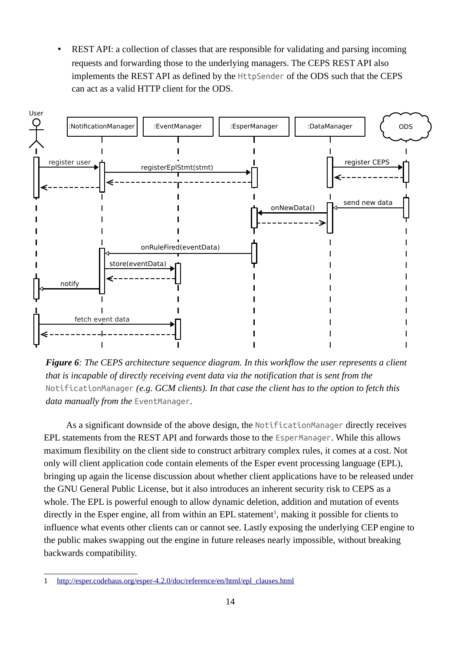• REST API: a collection of classes that are responsible for validating and parsing incoming requests and forwarding those to the underlying managers. The CEPS REST API also implements the REST API as defined by the HttpSender of the ODS such that the CEPS can act as a valid HTTP client for the ODS.



<span id="page-18-0"></span>*Figure 6: The CEPS architecture sequence diagram. In this workflow the user represents a client that is incapable of directly receiving event data via the notification that is sent from the*  NotificationManager *(e.g. GCM clients). In that case the client has to the option to fetch this data manually from the* EventManager*.*

As a significant downside of the above design, the NotificationManager directly receives EPL statements from the REST API and forwards those to the EsperManager. While this allows maximum flexibility on the client side to construct arbitrary complex rules, it comes at a cost. Not only will client application code contain elements of the Esper event processing language (EPL), bringing up again the license discussion about whether client applications have to be released under the GNU General Public License, but it also introduces an inherent security risk to CEPS as a whole. The EPL is powerful enough to allow dynamic deletion, addition and mutation of events directly in the Esper engine, all from within an EPL statement<sup>[1](#page-18-1)</sup>, making it possible for clients to influence what events other clients can or cannot see. Lastly exposing the underlying CEP engine to the public makes swapping out the engine in future releases nearly impossible, without breaking backwards compatibility.

<span id="page-18-1"></span><sup>1</sup> [http://esper.codehaus.org/esper-4.2.0/doc/reference/en/html/epl\\_clauses.html](http://esper.codehaus.org/esper-4.2.0/doc/reference/en/html/epl_clauses.html)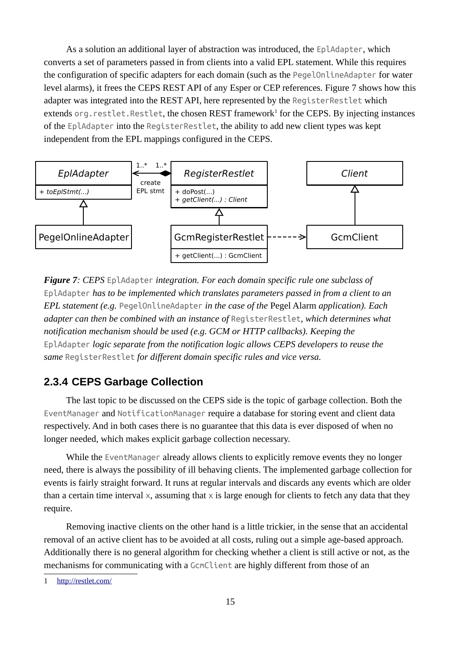As a solution an additional layer of abstraction was introduced, the EplAdapter, which converts a set of parameters passed in from clients into a valid EPL statement. While this requires the configuration of specific adapters for each domain (such as the PegelOnlineAdapter for water level alarms), it frees the CEPS REST API of any Esper or CEP references. Figure [7](#page-19-1) shows how this adapter was integrated into the REST API, here represented by the RegisterRestlet which extends org.restlet.Restlet, the chosen REST framework<sup>[1](#page-19-2)</sup> for the CEPS. By injecting instances of the EplAdapter into the RegisterRestlet, the ability to add new client types was kept independent from the EPL mappings configured in the CEPS.



<span id="page-19-1"></span>*Figure 7: CEPS* EplAdapter *integration. For each domain specific rule one subclass of*  EplAdapter *has to be implemented which translates parameters passed in from a client to an EPL statement (e.g.* PegelOnlineAdapter *in the case of the* Pegel Alarm *application). Each adapter can then be combined with an instance of* RegisterRestlet*, which determines what notification mechanism should be used (e.g. GCM or HTTP callbacks). Keeping the*  EplAdapter *logic separate from the notification logic allows CEPS developers to reuse the same* RegisterRestlet *for different domain specific rules and vice versa.*

#### <span id="page-19-0"></span>**2.3.4 CEPS Garbage Collection**

The last topic to be discussed on the CEPS side is the topic of garbage collection. Both the EventManager and NotificationManager require a database for storing event and client data respectively. And in both cases there is no guarantee that this data is ever disposed of when no longer needed, which makes explicit garbage collection necessary.

While the EventManager already allows clients to explicitly remove events they no longer need, there is always the possibility of ill behaving clients. The implemented garbage collection for events is fairly straight forward. It runs at regular intervals and discards any events which are older than a certain time interval  $\times$ , assuming that  $\times$  is large enough for clients to fetch any data that they require.

Removing inactive clients on the other hand is a little trickier, in the sense that an accidental removal of an active client has to be avoided at all costs, ruling out a simple age-based approach. Additionally there is no general algorithm for checking whether a client is still active or not, as the mechanisms for communicating with a GcmClient are highly different from those of an

<span id="page-19-2"></span><sup>1</sup> <http://restlet.com/>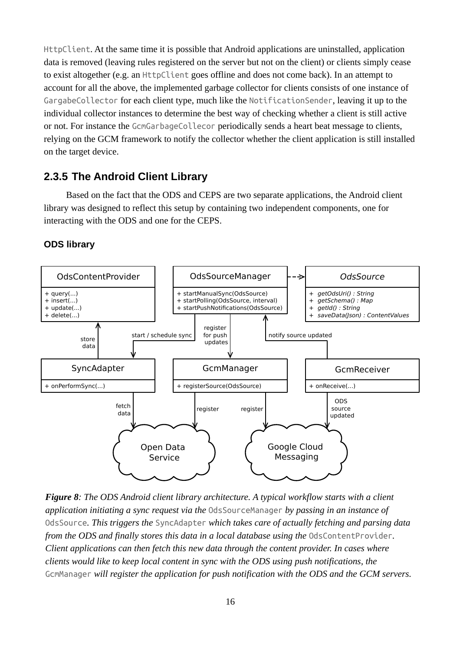HttpClient. At the same time it is possible that Android applications are uninstalled, application data is removed (leaving rules registered on the server but not on the client) or clients simply cease to exist altogether (e.g. an HttpClient goes offline and does not come back). In an attempt to account for all the above, the implemented garbage collector for clients consists of one instance of GargabeCollector for each client type, much like the NotificationSender, leaving it up to the individual collector instances to determine the best way of checking whether a client is still active or not. For instance the GcmGarbageCollecor periodically sends a heart beat message to clients, relying on the GCM framework to notify the collector whether the client application is still installed on the target device.

#### <span id="page-20-0"></span>**2.3.5 The Android Client Library**

Based on the fact that the ODS and CEPS are two separate applications, the Android client library was designed to reflect this setup by containing two independent components, one for interacting with the ODS and one for the CEPS.

#### **ODS library**



<span id="page-20-1"></span>*Figure 8: The ODS Android client library architecture. A typical workflow starts with a client application initiating a sync request via the* OdsSourceManager *by passing in an instance of*  OdsSource*. This triggers the* SyncAdapter *which takes care of actually fetching and parsing data from the ODS and finally stores this data in a local database using the OdsContentProvider. Client applications can then fetch this new data through the content provider. In cases where clients would like to keep local content in sync with the ODS using push notifications, the*  GcmManager *will register the application for push notification with the ODS and the GCM servers.*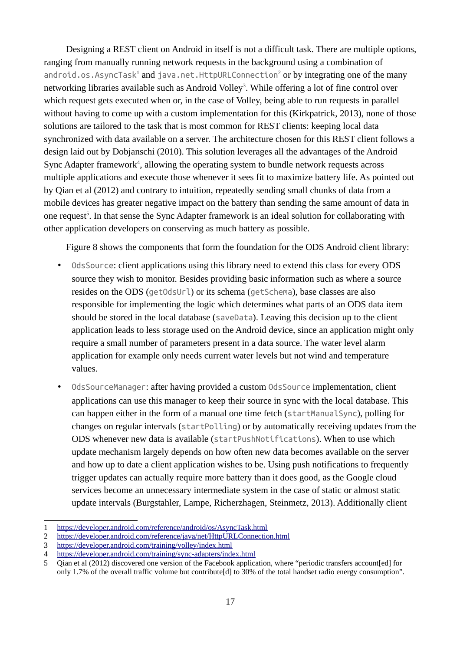Designing a REST client on Android in itself is not a difficult task. There are multiple options, ranging from manually running network requests in the background using a combination of android.os.AsyncTask<sup>[1](#page-21-0)</sup> and java.net.HttpURLConnection<sup>[2](#page-21-1)</sup> or by integrating one of the many networking libraries available such as Android Volley<sup>[3](#page-21-2)</sup>. While offering a lot of fine control over which request gets executed when or, in the case of Volley, being able to run requests in parallel without having to come up with a custom implementation for this (Kirkpatrick, 2013), none of those solutions are tailored to the task that is most common for REST clients: keeping local data synchronized with data available on a server. The architecture chosen for this REST client follows a design laid out by Dobjanschi (2010). This solution leverages all the advantages of the Android Sync Adapter framework<sup>[4](#page-21-3)</sup>, allowing the operating system to bundle network requests across multiple applications and execute those whenever it sees fit to maximize battery life. As pointed out by Qian et al (2012) and contrary to intuition, repeatedly sending small chunks of data from a mobile devices has greater negative impact on the battery than sending the same amount of data in one request<sup>[5](#page-21-4)</sup>. In that sense the Sync Adapter framework is an ideal solution for collaborating with other application developers on conserving as much battery as possible.

Figure [8](#page-20-1) shows the components that form the foundation for the ODS Android client library:

- OdsSource: client applications using this library need to extend this class for every ODS source they wish to monitor. Besides providing basic information such as where a source resides on the ODS (getOdsUrl) or its schema (getSchema), base classes are also responsible for implementing the logic which determines what parts of an ODS data item should be stored in the local database (saveData). Leaving this decision up to the client application leads to less storage used on the Android device, since an application might only require a small number of parameters present in a data source. The water level alarm application for example only needs current water levels but not wind and temperature values.
- OdsSourceManager: after having provided a custom OdsSource implementation, client applications can use this manager to keep their source in sync with the local database. This can happen either in the form of a manual one time fetch (startManualSync), polling for changes on regular intervals (startPolling) or by automatically receiving updates from the ODS whenever new data is available (startPushNotifications). When to use which update mechanism largely depends on how often new data becomes available on the server and how up to date a client application wishes to be. Using push notifications to frequently trigger updates can actually require more battery than it does good, as the Google cloud services become an unnecessary intermediate system in the case of static or almost static update intervals (Burgstahler, Lampe, Richerzhagen, Steinmetz, 2013). Additionally client

<span id="page-21-0"></span><sup>1</sup> <https://developer.android.com/reference/android/os/AsyncTask.html>

<span id="page-21-1"></span><sup>2</sup> <https://developer.android.com/reference/java/net/HttpURLConnection.html>

<span id="page-21-2"></span><sup>3</sup> <https://developer.android.com/training/volley/index.html>

<span id="page-21-3"></span><sup>4</sup> <https://developer.android.com/training/sync-adapters/index.html>

<span id="page-21-4"></span><sup>5</sup> Qian et al (2012) discovered one version of the Facebook application, where "periodic transfers account[ed] for only 1.7% of the overall traffic volume but contribute[d] to 30% of the total handset radio energy consumption".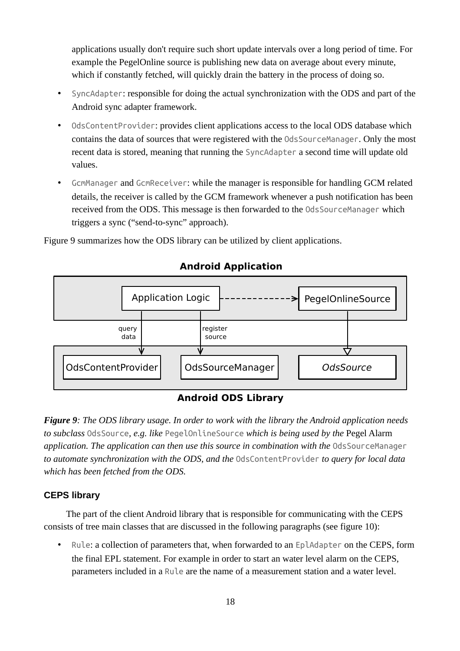applications usually don't require such short update intervals over a long period of time. For example the PegelOnline source is publishing new data on average about every minute, which if constantly fetched, will quickly drain the battery in the process of doing so.

- SyncAdapter: responsible for doing the actual synchronization with the ODS and part of the Android sync adapter framework.
- OdsContentProvider: provides client applications access to the local ODS database which contains the data of sources that were registered with the OdsSourceManager. Only the most recent data is stored, meaning that running the SyncAdapter a second time will update old values.
- GcmManager and GcmReceiver: while the manager is responsible for handling GCM related details, the receiver is called by the GCM framework whenever a push notification has been received from the ODS. This message is then forwarded to the OdsSourceManager which triggers a sync ("send-to-sync" approach).

Figure [9](#page-22-0) summarizes how the ODS library can be utilized by client applications.



#### **Android Application**

#### **Android ODS Library**

<span id="page-22-0"></span>*Figure 9: The ODS library usage. In order to work with the library the Android application needs to subclass* OdsSource*, e.g. like* PegelOnlineSource *which is being used by the* Pegel Alarm application. The application can then use this source in combination with the OdsSourceManager *to automate synchronization with the ODS, and the* OdsContentProvider *to query for local data which has been fetched from the ODS.*

#### **CEPS library**

The part of the client Android library that is responsible for communicating with the CEPS consists of tree main classes that are discussed in the following paragraphs (see figure [10\)](#page-23-1):

• Rule: a collection of parameters that, when forwarded to an EplAdapter on the CEPS, form the final EPL statement. For example in order to start an water level alarm on the CEPS, parameters included in a Rule are the name of a measurement station and a water level.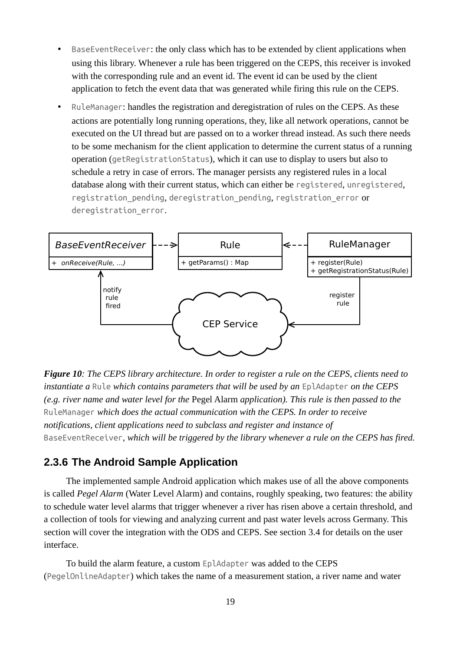- BaseEventReceiver: the only class which has to be extended by client applications when using this library. Whenever a rule has been triggered on the CEPS, this receiver is invoked with the corresponding rule and an event id. The event id can be used by the client application to fetch the event data that was generated while firing this rule on the CEPS.
- RuleManager: handles the registration and deregistration of rules on the CEPS. As these actions are potentially long running operations, they, like all network operations, cannot be executed on the UI thread but are passed on to a worker thread instead. As such there needs to be some mechanism for the client application to determine the current status of a running operation (getRegistrationStatus), which it can use to display to users but also to schedule a retry in case of errors. The manager persists any registered rules in a local database along with their current status, which can either be registered, unregistered, registration\_pending, deregistration\_pending, registration\_error or deregistration error.



<span id="page-23-1"></span>*Figure 10: The CEPS library architecture. In order to register a rule on the CEPS, clients need to instantiate a* Rule *which contains parameters that will be used by an* EplAdapter *on the CEPS (e.g. river name and water level for the* Pegel Alarm *application). This rule is then passed to the*  RuleManager *which does the actual communication with the CEPS. In order to receive notifications, client applications need to subclass and register and instance of*  BaseEventReceiver*, which will be triggered by the library whenever a rule on the CEPS has fired.*

#### <span id="page-23-0"></span>**2.3.6 The Android Sample Application**

The implemented sample Android application which makes use of all the above components is called *Pegel Alarm* (Water Level Alarm) and contains, roughly speaking, two features: the ability to schedule water level alarms that trigger whenever a river has risen above a certain threshold, and a collection of tools for viewing and analyzing current and past water levels across Germany. This section will cover the integration with the ODS and CEPS. See section [3.4](#page-33-0) for details on the user interface.

To build the alarm feature, a custom EplAdapter was added to the CEPS (PegelOnlineAdapter) which takes the name of a measurement station, a river name and water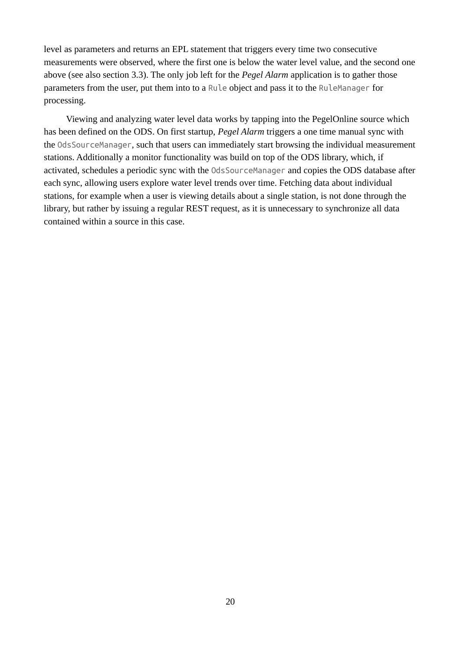level as parameters and returns an EPL statement that triggers every time two consecutive measurements were observed, where the first one is below the water level value, and the second one above (see also section [3.3\)](#page-32-0). The only job left for the *Pegel Alarm* application is to gather those parameters from the user, put them into to a Rule object and pass it to the RuleManager for processing.

Viewing and analyzing water level data works by tapping into the PegelOnline source which has been defined on the ODS. On first startup, *Pegel Alarm* triggers a one time manual sync with the OdsSourceManager, such that users can immediately start browsing the individual measurement stations. Additionally a monitor functionality was build on top of the ODS library, which, if activated, schedules a periodic sync with the OdsSourceManager and copies the ODS database after each sync, allowing users explore water level trends over time. Fetching data about individual stations, for example when a user is viewing details about a single station, is not done through the library, but rather by issuing a regular REST request, as it is unnecessary to synchronize all data contained within a source in this case.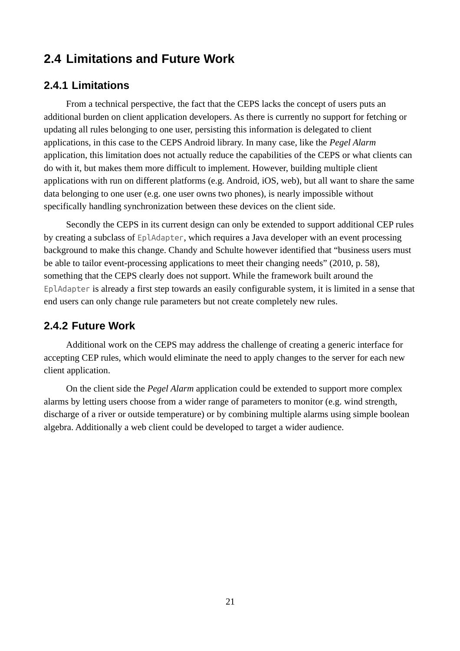## <span id="page-25-0"></span>**2.4 Limitations and Future Work**

#### <span id="page-25-1"></span>**2.4.1 Limitations**

From a technical perspective, the fact that the CEPS lacks the concept of users puts an additional burden on client application developers. As there is currently no support for fetching or updating all rules belonging to one user, persisting this information is delegated to client applications, in this case to the CEPS Android library. In many case, like the *Pegel Alarm* application, this limitation does not actually reduce the capabilities of the CEPS or what clients can do with it, but makes them more difficult to implement. However, building multiple client applications with run on different platforms (e.g. Android, iOS, web), but all want to share the same data belonging to one user (e.g. one user owns two phones), is nearly impossible without specifically handling synchronization between these devices on the client side.

Secondly the CEPS in its current design can only be extended to support additional CEP rules by creating a subclass of EplAdapter, which requires a Java developer with an event processing background to make this change. Chandy and Schulte however identified that "business users must be able to tailor event-processing applications to meet their changing needs" (2010, p. 58), something that the CEPS clearly does not support. While the framework built around the EplAdapter is already a first step towards an easily configurable system, it is limited in a sense that end users can only change rule parameters but not create completely new rules.

#### <span id="page-25-2"></span>**2.4.2 Future Work**

Additional work on the CEPS may address the challenge of creating a generic interface for accepting CEP rules, which would eliminate the need to apply changes to the server for each new client application.

On the client side the *Pegel Alarm* application could be extended to support more complex alarms by letting users choose from a wider range of parameters to monitor (e.g. wind strength, discharge of a river or outside temperature) or by combining multiple alarms using simple boolean algebra. Additionally a web client could be developed to target a wider audience.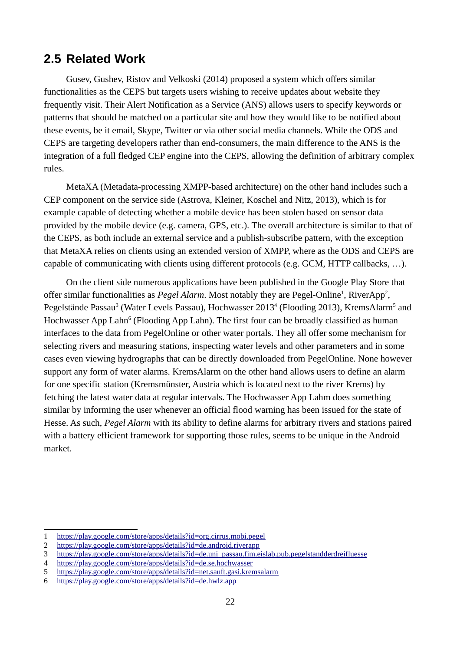## <span id="page-26-0"></span>**2.5 Related Work**

Gusev, Gushev, Ristov and Velkoski (2014) proposed a system which offers similar functionalities as the CEPS but targets users wishing to receive updates about website they frequently visit. Their Alert Notification as a Service (ANS) allows users to specify keywords or patterns that should be matched on a particular site and how they would like to be notified about these events, be it email, Skype, Twitter or via other social media channels. While the ODS and CEPS are targeting developers rather than end-consumers, the main difference to the ANS is the integration of a full fledged CEP engine into the CEPS, allowing the definition of arbitrary complex rules.

MetaXA (Metadata-processing XMPP-based architecture) on the other hand includes such a CEP component on the service side (Astrova, Kleiner, Koschel and Nitz, 2013), which is for example capable of detecting whether a mobile device has been stolen based on sensor data provided by the mobile device (e.g. camera, GPS, etc.). The overall architecture is similar to that of the CEPS, as both include an external service and a publish-subscribe pattern, with the exception that MetaXA relies on clients using an extended version of XMPP, where as the ODS and CEPS are capable of communicating with clients using different protocols (e.g. GCM, HTTP callbacks, …).

On the client side numerous applications have been published in the Google Play Store that offer similar functionalities as *Pegel Alarm*. Most notably they are Pegel-Online<sup>[1](#page-26-1)</sup>, RiverApp<sup>[2](#page-26-2)</sup>, Pegelstände Passau<sup>[3](#page-26-3)</sup> (Water Levels Passau), Hochwasser 2013<sup>[4](#page-26-4)</sup> (Flooding 2013), KremsAlarm<sup>[5](#page-26-5)</sup> and Hochwasser App Lahn<sup>[6](#page-26-6)</sup> (Flooding App Lahn). The first four can be broadly classified as human interfaces to the data from PegelOnline or other water portals. They all offer some mechanism for selecting rivers and measuring stations, inspecting water levels and other parameters and in some cases even viewing hydrographs that can be directly downloaded from PegelOnline. None however support any form of water alarms. KremsAlarm on the other hand allows users to define an alarm for one specific station (Kremsmünster, Austria which is located next to the river Krems) by fetching the latest water data at regular intervals. The Hochwasser App Lahm does something similar by informing the user whenever an official flood warning has been issued for the state of Hesse. As such, *Pegel Alarm* with its ability to define alarms for arbitrary rivers and stations paired with a battery efficient framework for supporting those rules, seems to be unique in the Android market.

<span id="page-26-1"></span><sup>1</sup> <https://play.google.com/store/apps/details?id=org.cirrus.mobi.pegel>

<span id="page-26-2"></span><sup>2</sup> <https://play.google.com/store/apps/details?id=de.android.riverapp>

<span id="page-26-3"></span><sup>3</sup> [https://play.google.com/store/apps/details?id=de.uni\\_passau.fim.eislab.pub.pegelstandderdreifluesse](https://play.google.com/store/apps/details?id=de.uni_passau.fim.eislab.pub.pegelstandderdreifluesse)

<span id="page-26-4"></span><sup>4</sup> <https://play.google.com/store/apps/details?id=de.se.hochwasser>

<span id="page-26-5"></span><sup>5</sup> <https://play.google.com/store/apps/details?id=net.sauft.gasi.kremsalarm>

<span id="page-26-6"></span><sup>6</sup> <https://play.google.com/store/apps/details?id=de.hwlz.app>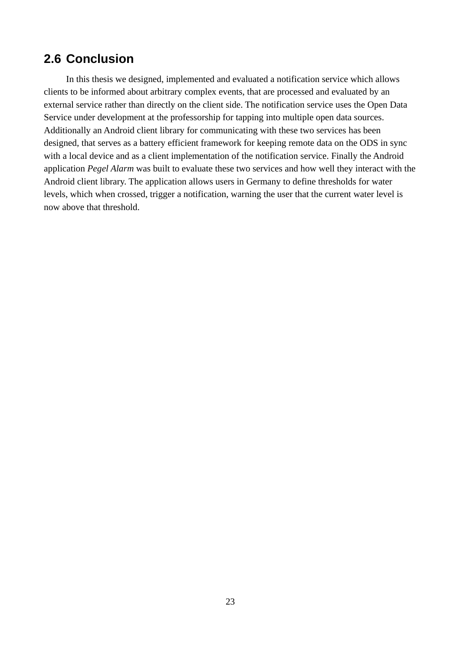## <span id="page-27-0"></span>**2.6 Conclusion**

In this thesis we designed, implemented and evaluated a notification service which allows clients to be informed about arbitrary complex events, that are processed and evaluated by an external service rather than directly on the client side. The notification service uses the Open Data Service under development at the professorship for tapping into multiple open data sources. Additionally an Android client library for communicating with these two services has been designed, that serves as a battery efficient framework for keeping remote data on the ODS in sync with a local device and as a client implementation of the notification service. Finally the Android application *Pegel Alarm* was built to evaluate these two services and how well they interact with the Android client library. The application allows users in Germany to define thresholds for water levels, which when crossed, trigger a notification, warning the user that the current water level is now above that threshold.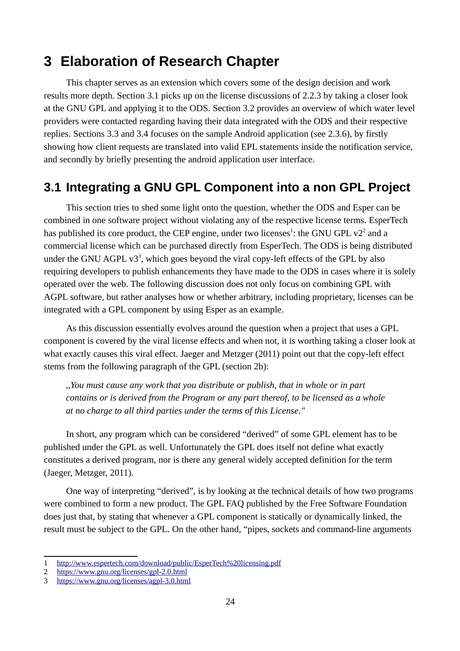## <span id="page-28-0"></span>**3 Elaboration of Research Chapter**

This chapter serves as an extension which covers some of the design decision and work results more depth. Section [3.1](#page-28-1) picks up on the license discussions of [2.2.3](#page-11-0) by taking a closer look at the GNU GPL and applying it to the ODS. Section [3.2](#page-31-0) provides an overview of which water level providers were contacted regarding having their data integrated with the ODS and their respective replies. Sections [3.3](#page-32-0) and [3.4](#page-33-0) focuses on the sample Android application (see [2.3.6\)](#page-23-0), by firstly showing how client requests are translated into valid EPL statements inside the notification service, and secondly by briefly presenting the android application user interface.

## <span id="page-28-1"></span>**3.1 Integrating a GNU GPL Component into a non GPL Project**

This section tries to shed some light onto the question, whether the ODS and Esper can be combined in one software project without violating any of the respective license terms. EsperTech has published its core product, the CEP engine, under two licenses<sup>[1](#page-28-2)</sup>: the GNU GPL  $v2<sup>2</sup>$  $v2<sup>2</sup>$  $v2<sup>2</sup>$  and a commercial license which can be purchased directly from EsperTech. The ODS is being distributed under the GNU AGPL  $v3^3$  $v3^3$  $v3^3$ , which goes beyond the viral copy-left effects of the GPL by also requiring developers to publish enhancements they have made to the ODS in cases where it is solely operated over the web. The following discussion does not only focus on combining GPL with AGPL software, but rather analyses how or whether arbitrary, including proprietary, licenses can be integrated with a GPL component by using Esper as an example.

As this discussion essentially evolves around the question when a project that uses a GPL component is covered by the viral license effects and when not, it is worthing taking a closer look at what exactly causes this viral effect. Jaeger and Metzger (2011) point out that the copy-left effect stems from the following paragraph of the GPL (section 2b):

*,,You must cause any work that you distribute or publish, that in whole or in part contains or is derived from the Program or any part thereof, to be licensed as a whole at no charge to all third parties under the terms of this License."*

In short, any program which can be considered "derived" of some GPL element has to be published under the GPL as well. Unfortunately the GPL does itself not define what exactly constitutes a derived program, nor is there any general widely accepted definition for the term (Jaeger, Metzger, 2011).

One way of interpreting "derived", is by looking at the technical details of how two programs were combined to form a new product. The GPL FAQ published by the Free Software Foundation does just that, by stating that whenever a GPL component is statically or dynamically linked, the result must be subject to the GPL. On the other hand, "pipes, sockets and command-line arguments

<span id="page-28-2"></span><sup>1</sup> <http://www.espertech.com/download/public/EsperTech%20licensing.pdf>

<span id="page-28-3"></span><sup>2</sup> <https://www.gnu.org/licenses/gpl-2.0.html>

<span id="page-28-4"></span><sup>3</sup> <https://www.gnu.org/licenses/agpl-3.0.html>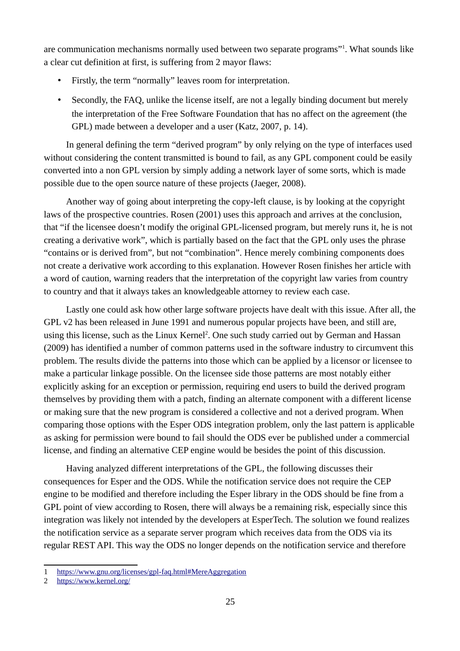are communication mechanisms normally used between two separate programs"<sup>[1](#page-29-0)</sup>. What sounds like a clear cut definition at first, is suffering from 2 mayor flaws:

- Firstly, the term "normally" leaves room for interpretation.
- Secondly, the FAQ, unlike the license itself, are not a legally binding document but merely the interpretation of the Free Software Foundation that has no affect on the agreement (the GPL) made between a developer and a user (Katz, 2007, p. 14).

In general defining the term "derived program" by only relying on the type of interfaces used without considering the content transmitted is bound to fail, as any GPL component could be easily converted into a non GPL version by simply adding a network layer of some sorts, which is made possible due to the open source nature of these projects (Jaeger, 2008).

Another way of going about interpreting the copy-left clause, is by looking at the copyright laws of the prospective countries. Rosen (2001) uses this approach and arrives at the conclusion, that "if the licensee doesn't modify the original GPL-licensed program, but merely runs it, he is not creating a derivative work", which is partially based on the fact that the GPL only uses the phrase "contains or is derived from", but not "combination". Hence merely combining components does not create a derivative work according to this explanation. However Rosen finishes her article with a word of caution, warning readers that the interpretation of the copyright law varies from country to country and that it always takes an knowledgeable attorney to review each case.

Lastly one could ask how other large software projects have dealt with this issue. After all, the GPL v2 has been released in June 1991 and numerous popular projects have been, and still are, using this license, such as the Linux Kernel<sup>[2](#page-29-1)</sup>. One such study carried out by German and Hassan (2009) has identified a number of common patterns used in the software industry to circumvent this problem. The results divide the patterns into those which can be applied by a licensor or licensee to make a particular linkage possible. On the licensee side those patterns are most notably either explicitly asking for an exception or permission, requiring end users to build the derived program themselves by providing them with a patch, finding an alternate component with a different license or making sure that the new program is considered a collective and not a derived program. When comparing those options with the Esper ODS integration problem, only the last pattern is applicable as asking for permission were bound to fail should the ODS ever be published under a commercial license, and finding an alternative CEP engine would be besides the point of this discussion.

Having analyzed different interpretations of the GPL, the following discusses their consequences for Esper and the ODS. While the notification service does not require the CEP engine to be modified and therefore including the Esper library in the ODS should be fine from a GPL point of view according to Rosen, there will always be a remaining risk, especially since this integration was likely not intended by the developers at EsperTech. The solution we found realizes the notification service as a separate server program which receives data from the ODS via its regular REST API. This way the ODS no longer depends on the notification service and therefore

<span id="page-29-0"></span><sup>1</sup> <https://www.gnu.org/licenses/gpl-faq.html#MereAggregation>

<span id="page-29-1"></span><sup>2</sup> <https://www.kernel.org/>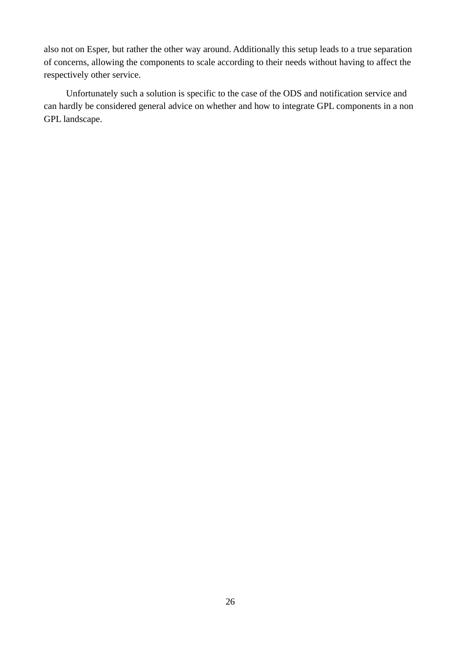also not on Esper, but rather the other way around. Additionally this setup leads to a true separation of concerns, allowing the components to scale according to their needs without having to affect the respectively other service.

Unfortunately such a solution is specific to the case of the ODS and notification service and can hardly be considered general advice on whether and how to integrate GPL components in a non GPL landscape.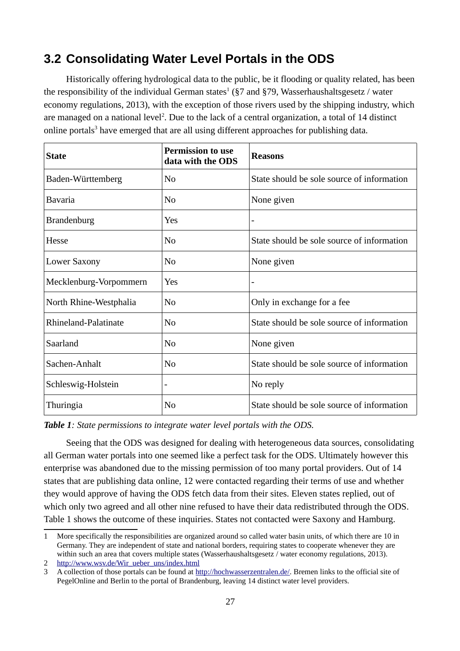## <span id="page-31-0"></span>**3.2 Consolidating Water Level Portals in the ODS**

Historically offering hydrological data to the public, be it flooding or quality related, has been the responsibility of the individual German states<sup>[1](#page-31-2)</sup> (§7 and §79, Wasserhaushaltsgesetz / water economy regulations, 2013), with the exception of those rivers used by the shipping industry, which are managed on a national level<sup>[2](#page-31-3)</sup>. Due to the lack of a central organization, a total of 14 distinct online portals<sup>[3](#page-31-4)</sup> have emerged that are all using different approaches for publishing data.

| <b>State</b>           | <b>Permission to use</b><br>data with the ODS | <b>Reasons</b>                             |
|------------------------|-----------------------------------------------|--------------------------------------------|
| Baden-Württemberg      | N <sub>0</sub>                                | State should be sole source of information |
| Bavaria                | N <sub>0</sub>                                | None given                                 |
| <b>Brandenburg</b>     | Yes                                           |                                            |
| Hesse                  | N <sub>0</sub>                                | State should be sole source of information |
| <b>Lower Saxony</b>    | N <sub>0</sub>                                | None given                                 |
| Mecklenburg-Vorpommern | Yes                                           | -                                          |
| North Rhine-Westphalia | N <sub>0</sub>                                | Only in exchange for a fee                 |
| Rhineland-Palatinate   | N <sub>0</sub>                                | State should be sole source of information |
| Saarland               | N <sub>0</sub>                                | None given                                 |
| Sachen-Anhalt          | N <sub>0</sub>                                | State should be sole source of information |
| Schleswig-Holstein     | -                                             | No reply                                   |
| Thuringia              | N <sub>0</sub>                                | State should be sole source of information |

<span id="page-31-1"></span>*Table 1: State permissions to integrate water level portals with the ODS.*

Seeing that the ODS was designed for dealing with heterogeneous data sources, consolidating all German water portals into one seemed like a perfect task for the ODS. Ultimately however this enterprise was abandoned due to the missing permission of too many portal providers. Out of 14 states that are publishing data online, 12 were contacted regarding their terms of use and whether they would approve of having the ODS fetch data from their sites. Eleven states replied, out of which only two agreed and all other nine refused to have their data redistributed through the ODS. Table [1](#page-31-1) shows the outcome of these inquiries. States not contacted were Saxony and Hamburg.

<span id="page-31-2"></span><sup>1</sup> More specifically the responsibilities are organized around so called water basin units, of which there are 10 in Germany. They are independent of state and national borders, requiring states to cooperate whenever they are within such an area that covers multiple states (Wasserhaushaltsgesetz / water economy regulations, 2013).

<span id="page-31-3"></span><sup>2</sup> [http://www.wsv.de/Wir\\_ueber\\_uns/index.html](http://www.wsv.de/Wir_ueber_uns/index.html)

<span id="page-31-4"></span><sup>3</sup> A collection of those portals can be found at [http://hochwasserzentralen.de/.](http://hochwasserzentralen.de/) Bremen links to the official site of PegelOnline and Berlin to the portal of Brandenburg, leaving 14 distinct water level providers.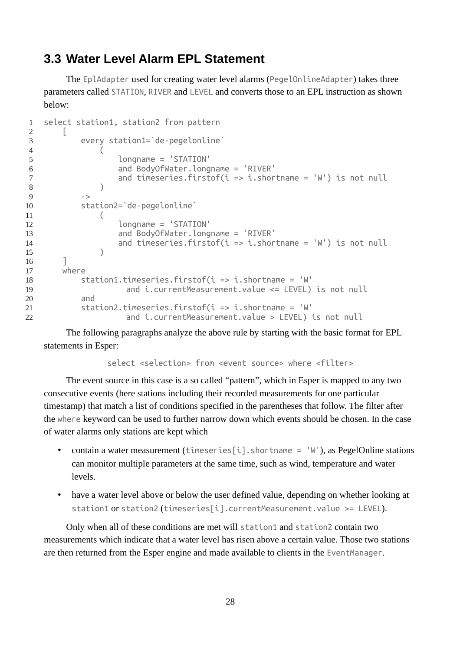## <span id="page-32-0"></span>**3.3 Water Level Alarm EPL Statement**

The EplAdapter used for creating water level alarms (PegelOnlineAdapter) takes three parameters called STATION, RIVER and LEVEL and converts those to an EPL instruction as shown below:

```
select station1, station2 from pattern
         \lceil every station1=`de-pegelonline` 
     \overline{ } longname = 'STATION' 
                         and BodyOfWater.longname = 'RIVER' 
                        and timeseries.firstof(i \Rightarrow i.shortname = 'W') is not null
     \left( \begin{array}{c} \end{array} \right)\rightarrow station2=`de-pegelonline` 
     \overline{a} longname = 'STATION' 
                         and BodyOfWater.longname = 'RIVER' 
                        and timeseries.firstof(i \Rightarrow i.shortname = 'W') is not null
     \left( \begin{array}{c} \end{array} \right) ] 
          where 
              station1.timeseries.firstof(i \Rightarrow i.shortname = 'W'
                          and i.currentMeasurement.value <= LEVEL) is not null 
               and 
               station2.timeseries.firstof(i => i.shortname = 'W'
                          and i.currentMeasurement.value > LEVEL) is not null 
1
2
 3
 4
 5
 6
7
8
9
10
11
12
13
14
15
16
17
18
19
20
21
22
```
The following paragraphs analyze the above rule by starting with the basic format for EPL statements in Esper:

select <selection> from <event source> where <filter>

The event source in this case is a so called "pattern", which in Esper is mapped to any two consecutive events (here stations including their recorded measurements for one particular timestamp) that match a list of conditions specified in the parentheses that follow. The filter after the where keyword can be used to further narrow down which events should be chosen. In the case of water alarms only stations are kept which

- contain a water measurement (timeseries[i].shortname =  $W'$ ), as PegelOnline stations can monitor multiple parameters at the same time, such as wind, temperature and water levels.
- have a water level above or below the user defined value, depending on whether looking at station1 or station2 (timeseries[i].currentMeasurement.value >= LEVEL).

Only when all of these conditions are met will station1 and station2 contain two measurements which indicate that a water level has risen above a certain value. Those two stations are then returned from the Esper engine and made available to clients in the EventManager.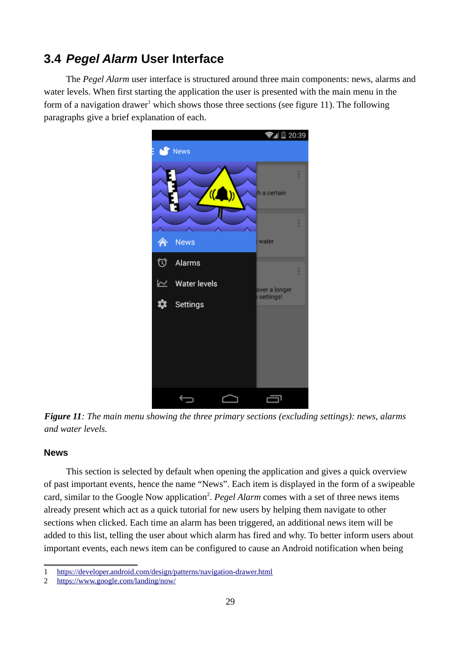## <span id="page-33-0"></span>**3.4** *Pegel Alarm* **User Interface**

The *Pegel Alarm* user interface is structured around three main components: news, alarms and water levels. When first starting the application the user is presented with the main menu in the form of a navigation drawer<sup>[1](#page-33-2)</sup> which shows those three sections (see figure [11\)](#page-33-1). The following paragraphs give a brief explanation of each.



*Figure 11: The main menu showing the three primary sections (excluding settings): news, alarms and water levels.*

#### <span id="page-33-1"></span>**News**

This section is selected by default when opening the application and gives a quick overview of past important events, hence the name "News". Each item is displayed in the form of a swipeable card, similar to the Google Now application<sup>[2](#page-33-3)</sup>. *Pegel Alarm* comes with a set of three news items already present which act as a quick tutorial for new users by helping them navigate to other sections when clicked. Each time an alarm has been triggered, an additional news item will be added to this list, telling the user about which alarm has fired and why. To better inform users about important events, each news item can be configured to cause an Android notification when being

<span id="page-33-2"></span><sup>1</sup> <https://developer.android.com/design/patterns/navigation-drawer.html>

<span id="page-33-3"></span><sup>2</sup> <https://www.google.com/landing/now/>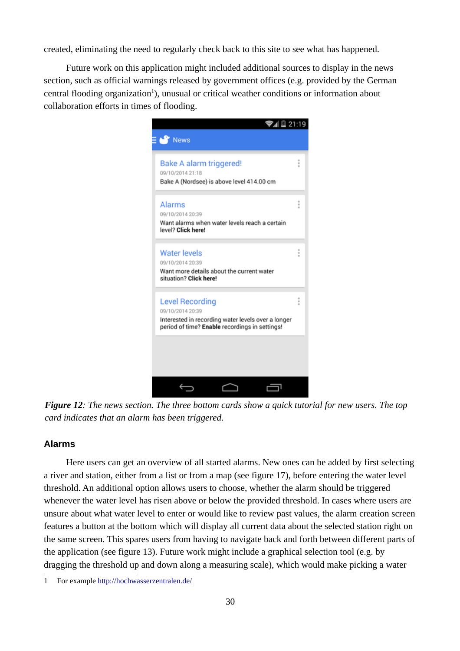created, eliminating the need to regularly check back to this site to see what has happened.

Future work on this application might included additional sources to display in the news section, such as official warnings released by government offices (e.g. provided by the German central flooding organization<sup>[1](#page-34-0)</sup>), unusual or critical weather conditions or information about collaboration efforts in times of flooding.



*Figure 12: The news section. The three bottom cards show a quick tutorial for new users. The top card indicates that an alarm has been triggered.*

#### **Alarms**

Here users can get an overview of all started alarms. New ones can be added by first selecting a river and station, either from a list or from a map (see figure [17\)](#page-39-0), before entering the water level threshold. An additional option allows users to choose, whether the alarm should be triggered whenever the water level has risen above or below the provided threshold. In cases where users are unsure about what water level to enter or would like to review past values, the alarm creation screen features a button at the bottom which will display all current data about the selected station right on the same screen. This spares users from having to navigate back and forth between different parts of the application (see figure [13\)](#page-35-0). Future work might include a graphical selection tool (e.g. by dragging the threshold up and down along a measuring scale), which would make picking a water

<span id="page-34-0"></span><sup>1</sup> For example<http://hochwasserzentralen.de/>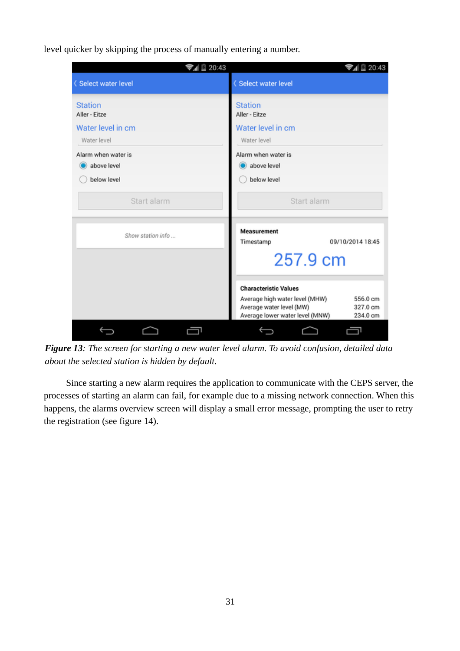level quicker by skipping the process of manually entering a number.

| ▼』 20:43                                         | <b>▼</b> 』 20:43                                                                                                                                                  |
|--------------------------------------------------|-------------------------------------------------------------------------------------------------------------------------------------------------------------------|
| <b><select b="" level<="" water=""></select></b> | <b>(Select water level</b>                                                                                                                                        |
| <b>Station</b><br>Aller - Eitze                  | <b>Station</b><br>Aller - Eitze                                                                                                                                   |
|                                                  | Water level in cm                                                                                                                                                 |
| Water level in cm                                |                                                                                                                                                                   |
| Water level                                      | Water level                                                                                                                                                       |
| Alarm when water is                              | Alarm when water is                                                                                                                                               |
| above level                                      | above level                                                                                                                                                       |
| below level                                      | below level                                                                                                                                                       |
| Start alarm                                      | Start alarm                                                                                                                                                       |
| Show station info                                | <b>Measurement</b><br>09/10/2014 18:45<br>Timestamp                                                                                                               |
|                                                  | 257.9 cm                                                                                                                                                          |
|                                                  | <b>Characteristic Values</b><br>Average high water level (MHW)<br>556.0 cm<br>Average water level (MW)<br>327.0 cm<br>Average lower water level (MNW)<br>234.0 cm |
|                                                  |                                                                                                                                                                   |

<span id="page-35-0"></span>*Figure 13: The screen for starting a new water level alarm. To avoid confusion, detailed data about the selected station is hidden by default.*

Since starting a new alarm requires the application to communicate with the CEPS server, the processes of starting an alarm can fail, for example due to a missing network connection. When this happens, the alarms overview screen will display a small error message, prompting the user to retry the registration (see figure [14\)](#page-36-0).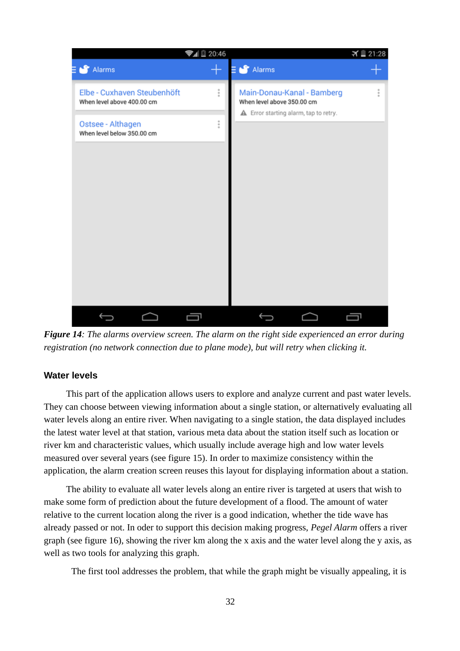

*Figure 14: The alarms overview screen. The alarm on the right side experienced an error during registration (no network connection due to plane mode), but will retry when clicking it.*

#### <span id="page-36-0"></span>**Water levels**

This part of the application allows users to explore and analyze current and past water levels. They can choose between viewing information about a single station, or alternatively evaluating all water levels along an entire river. When navigating to a single station, the data displayed includes the latest water level at that station, various meta data about the station itself such as location or river km and characteristic values, which usually include average high and low water levels measured over several years (see figure [15\)](#page-37-0). In order to maximize consistency within the application, the alarm creation screen reuses this layout for displaying information about a station.

The ability to evaluate all water levels along an entire river is targeted at users that wish to make some form of prediction about the future development of a flood. The amount of water relative to the current location along the river is a good indication, whether the tide wave has already passed or not. In oder to support this decision making progress, *Pegel Alarm* offers a river graph (see figure [16\)](#page-38-0), showing the river km along the x axis and the water level along the y axis, as well as two tools for analyzing this graph.

The first tool addresses the problem, that while the graph might be visually appealing, it is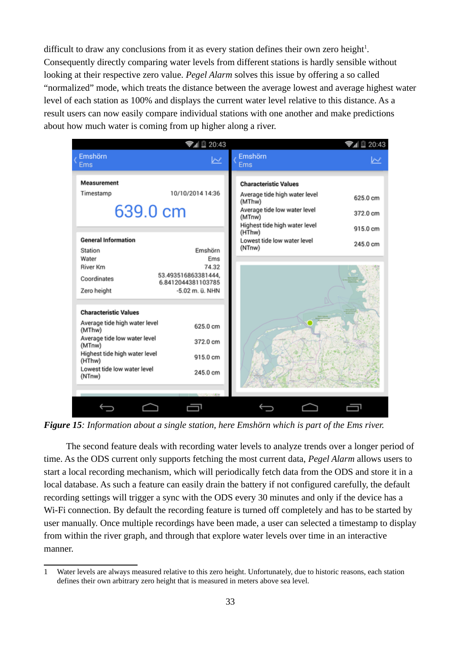difficult to draw any conclusions from it as every station defines their own zero height<sup>[1](#page-37-1)</sup>. Consequently directly comparing water levels from different stations is hardly sensible without looking at their respective zero value. *Pegel Alarm* solves this issue by offering a so called "normalized" mode, which treats the distance between the average lowest and average highest water level of each station as 100% and displays the current water level relative to this distance. As a result users can now easily compare individual stations with one another and make predictions about how much water is coming from up higher along a river.

| Emshörn<br>Emshörn<br><u> محا</u><br><b>Ems</b><br><b>Ems</b><br><b>Measurement</b><br><b>Characteristic Values</b>                                                                                                                                   |  |
|-------------------------------------------------------------------------------------------------------------------------------------------------------------------------------------------------------------------------------------------------------|--|
|                                                                                                                                                                                                                                                       |  |
| 10/10/2014 14:36<br>Timestamp<br>Average tide high water level<br>625.0 cm<br>(MThw)<br>639.0 cm<br>Average tide low water level<br>372.0 cm<br>(MTnw)<br>Highest tide high water level<br>915.0 cm                                                   |  |
| (HThw)<br><b>General Information</b><br>Lowest tide low water level<br>245.0 cm<br>(NTnw)<br>Emshörn<br>Station<br>Water<br>Ems<br>74.32<br>River Km<br>53.493516863381444.<br>Coordinates<br>6.8412044381103785<br>-5.02 m. ü. NHN<br>Zero height    |  |
| <b>Characteristic Values</b><br>Average tide high water level<br>625.0 cm<br>(MThw)<br>Average tide low water level<br>372.0 cm<br>(MTnw)<br>Highest tide high water level<br>915.0 cm<br>(HThw)<br>Lowest tide low water level<br>245.0 cm<br>(NTnw) |  |

<span id="page-37-0"></span>*Figure 15: Information about a single station, here Emshörn which is part of the Ems river.*

The second feature deals with recording water levels to analyze trends over a longer period of time. As the ODS current only supports fetching the most current data, *Pegel Alarm* allows users to start a local recording mechanism, which will periodically fetch data from the ODS and store it in a local database. As such a feature can easily drain the battery if not configured carefully, the default recording settings will trigger a sync with the ODS every 30 minutes and only if the device has a Wi-Fi connection. By default the recording feature is turned off completely and has to be started by user manually. Once multiple recordings have been made, a user can selected a timestamp to display from within the river graph, and through that explore water levels over time in an interactive manner.

<span id="page-37-1"></span><sup>1</sup> Water levels are always measured relative to this zero height. Unfortunately, due to historic reasons, each station defines their own arbitrary zero height that is measured in meters above sea level.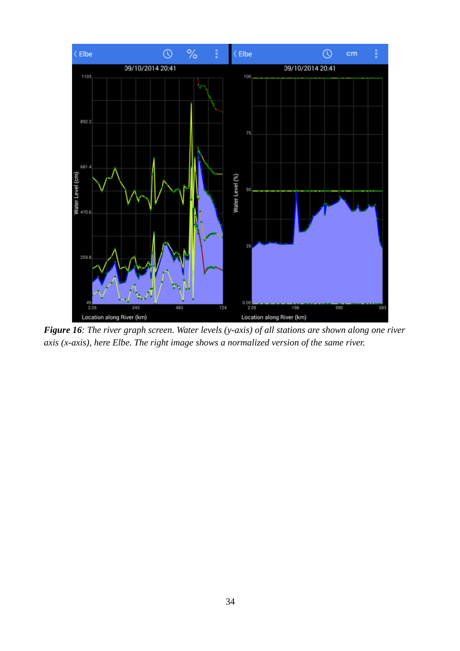

<span id="page-38-0"></span>*Figure 16: The river graph screen. Water levels (y-axis) of all stations are shown along one river axis (x-axis), here Elbe. The right image shows a normalized version of the same river.*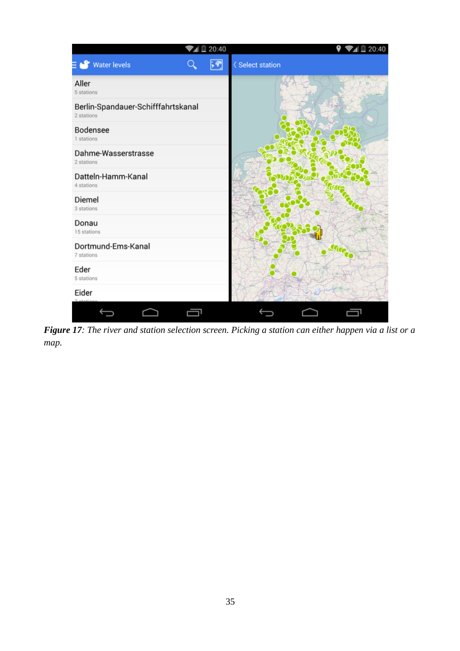<span id="page-39-0"></span>

*Figure 17: The river and station selection screen. Picking a station can either happen via a list or a map.*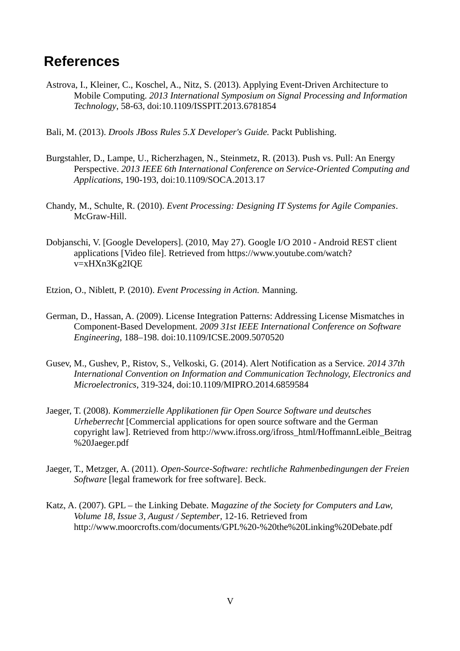## <span id="page-40-0"></span>**References**

- Astrova, I., Kleiner, C., Koschel, A., Nitz, S. (2013). Applying Event-Driven Architecture to Mobile Computing. *2013 International Symposium on Signal Processing and Information Technology*, 58-63, doi[:10.1109/ISSPIT.2013.6781854](http://dx.doi.org/10.1109/ISSPIT.2013.6781854)
- Bali, M. (2013). *Drools JBoss Rules 5.X Developer's Guide.* Packt Publishing.
- Burgstahler, D., Lampe, U., Richerzhagen, N., Steinmetz, R. (2013). Push vs. Pull: An Energy Perspective. *2013 IEEE 6th International Conference on Service-Oriented Computing and Applications*, 190-193, doi[:10.1109/SOCA.2013.17](http://dx.doi.org/10.1109/SOCA.2013.17)
- Chandy, M., Schulte, R. (2010). *Event Processing: Designing IT Systems for Agile Companies*. McGraw-Hill.
- Dobjanschi, V. [Google Developers]. (2010, May 27). Google I/O 2010 Android REST client applications [Video file]. Retrieved from https://www.youtube.com/watch? v=xHXn3Kg2IQE
- Etzion, O., Niblett, P. (2010). *Event Processing in Action.* Manning.
- German, D., Hassan, A. (2009). License Integration Patterns: Addressing License Mismatches in Component-Based Development. *2009 31st IEEE International Conference on Software Engineering*, 188–198. doi:10.1109/ICSE.2009.5070520
- Gusev, M., Gushev, P., Ristov, S., Velkoski, G. (2014). Alert Notification as a Service. *2014 37th International Convention on Information and Communication Technology, Electronics and Microelectronics*, 319-324, doi[:10.1109/MIPRO.2014.6859584](http://dx.doi.org/10.1109/MIPRO.2014.6859584)
- Jaeger, T. (2008). *Kommerzielle Applikationen für Open Source Software und deutsches Urheberrecht* [Commercial applications for open source software and the German copyright law]. Retrieved from http://www.ifross.org/ifross\_html/HoffmannLeible\_Beitrag %20Jaeger.pdf
- Jaeger, T., Metzger, A. (2011). *Open-Source-Software: rechtliche Rahmenbedingungen der Freien Software* [legal framework for free software]. Beck.
- Katz, A. (2007). GPL the Linking Debate. M*agazine of the Society for Computers and Law, Volume 18, Issue 3, August / September*, 12-16. Retrieved from http://www.moorcrofts.com/documents/GPL%20-%20the%20Linking%20Debate.pdf